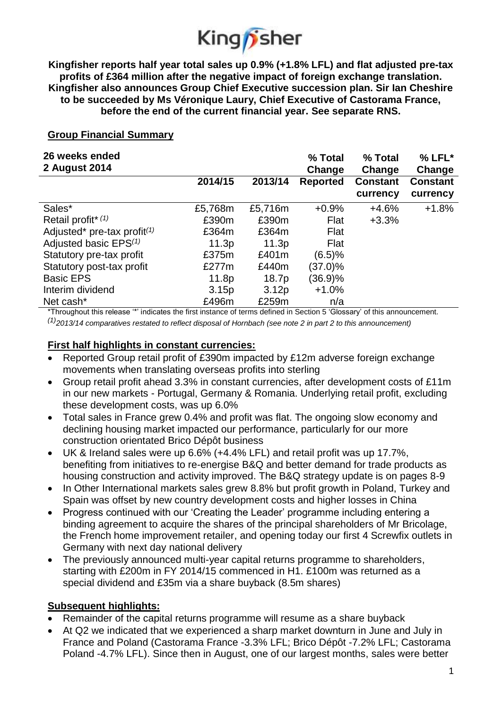

**Kingfisher reports half year total sales up 0.9% (+1.8% LFL) and flat adjusted pre-tax profits of £364 million after the negative impact of foreign exchange translation. Kingfisher also announces Group Chief Executive succession plan. Sir Ian Cheshire to be succeeded by Ms Véronique Laury, Chief Executive of Castorama France, before the end of the current financial year. See separate RNS.** 

# **Group Financial Summary**

| 26 weeks ended<br>2 August 2014               |         |         | % Total<br>Change | % Total<br>Change           | $% LFL*$<br>Change          |
|-----------------------------------------------|---------|---------|-------------------|-----------------------------|-----------------------------|
|                                               | 2014/15 | 2013/14 | <b>Reported</b>   | <b>Constant</b><br>currency | <b>Constant</b><br>currency |
| Sales*                                        | £5,768m | £5,716m | $+0.9%$           | $+4.6%$                     | $+1.8%$                     |
| Retail profit <sup>* (1)</sup>                | £390m   | £390m   | Flat              | $+3.3%$                     |                             |
| Adjusted* pre-tax profit $(1)$                | £364m   | £364m   | Flat              |                             |                             |
| Adjusted basic EPS <sup>(1)</sup>             | 11.3p   | 11.3p   | Flat              |                             |                             |
| Statutory pre-tax profit                      | £375m   | £401m   | $(6.5) \%$        |                             |                             |
| Statutory post-tax profit                     | £277m   | £440m   | (37.0)%           |                             |                             |
| <b>Basic EPS</b>                              | 11.8p   | 18.7p   | (36.9)%           |                             |                             |
| Interim dividend                              | 3.15p   | 3.12p   | $+1.0%$           |                             |                             |
| Net cash*<br>$\sim$ $\sim$ $\sim$<br>$\cdots$ | £496m   | £259m   | n/a               | .                           |                             |

\*Throughout this release '\*' indicates the first instance of terms defined in Section 5 'Glossary' of this announcement. *(1)2013/14 comparatives restated to reflect disposal of Hornbach (see note 2 in part 2 to this announcement)*

# **First half highlights in constant currencies:**

- Reported Group retail profit of £390m impacted by £12m adverse foreign exchange movements when translating overseas profits into sterling
- Group retail profit ahead 3.3% in constant currencies, after development costs of £11m in our new markets - Portugal, Germany & Romania. Underlying retail profit, excluding these development costs, was up 6.0%
- Total sales in France grew 0.4% and profit was flat. The ongoing slow economy and declining housing market impacted our performance, particularly for our more construction orientated Brico Dépôt business
- UK & Ireland sales were up 6.6% (+4.4% LFL) and retail profit was up 17.7%, benefiting from initiatives to re-energise B&Q and better demand for trade products as housing construction and activity improved. The B&Q strategy update is on pages 8-9
- In Other International markets sales grew 8.8% but profit growth in Poland, Turkey and Spain was offset by new country development costs and higher losses in China
- Progress continued with our 'Creating the Leader' programme including entering a binding agreement to acquire the shares of the principal shareholders of Mr Bricolage, the French home improvement retailer, and opening today our first 4 Screwfix outlets in Germany with next day national delivery
- The previously announced multi-year capital returns programme to shareholders, starting with £200m in FY 2014/15 commenced in H1. £100m was returned as a special dividend and £35m via a share buyback (8.5m shares)

# **Subsequent highlights:**

- Remainder of the capital returns programme will resume as a share buyback
- At Q2 we indicated that we experienced a sharp market downturn in June and July in France and Poland (Castorama France -3.3% LFL; Brico Dépôt -7.2% LFL; Castorama Poland -4.7% LFL). Since then in August, one of our largest months, sales were better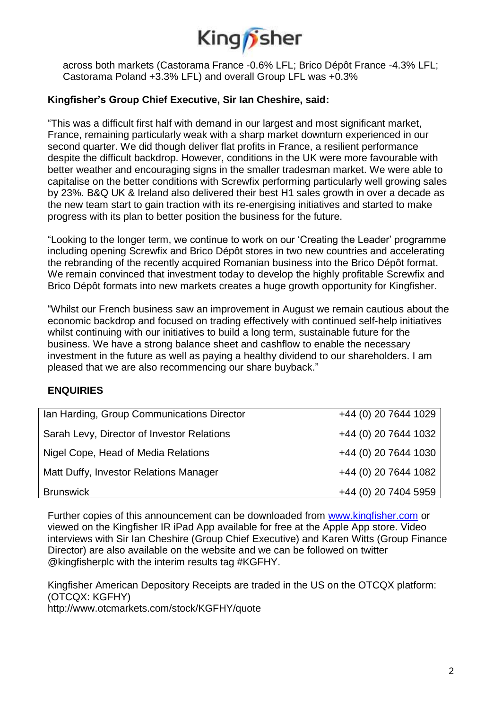

across both markets (Castorama France -0.6% LFL; Brico Dépôt France -4.3% LFL; Castorama Poland +3.3% LFL) and overall Group LFL was +0.3%

# **Kingfisher's Group Chief Executive, Sir Ian Cheshire, said:**

"This was a difficult first half with demand in our largest and most significant market, France, remaining particularly weak with a sharp market downturn experienced in our second quarter. We did though deliver flat profits in France, a resilient performance despite the difficult backdrop. However, conditions in the UK were more favourable with better weather and encouraging signs in the smaller tradesman market. We were able to capitalise on the better conditions with Screwfix performing particularly well growing sales by 23%. B&Q UK & Ireland also delivered their best H1 sales growth in over a decade as the new team start to gain traction with its re-energising initiatives and started to make progress with its plan to better position the business for the future.

"Looking to the longer term, we continue to work on our 'Creating the Leader' programme including opening Screwfix and Brico Dépôt stores in two new countries and accelerating the rebranding of the recently acquired Romanian business into the Brico Dépôt format. We remain convinced that investment today to develop the highly profitable Screwfix and Brico Dépôt formats into new markets creates a huge growth opportunity for Kingfisher.

"Whilst our French business saw an improvement in August we remain cautious about the economic backdrop and focused on trading effectively with continued self-help initiatives whilst continuing with our initiatives to build a long term, sustainable future for the business. We have a strong balance sheet and cashflow to enable the necessary investment in the future as well as paying a healthy dividend to our shareholders. I am pleased that we are also recommencing our share buyback."

# **ENQUIRIES**

| Ian Harding, Group Communications Director | +44 (0) 20 7644 1029 |
|--------------------------------------------|----------------------|
| Sarah Levy, Director of Investor Relations | +44 (0) 20 7644 1032 |
| Nigel Cope, Head of Media Relations        | +44 (0) 20 7644 1030 |
| Matt Duffy, Investor Relations Manager     | +44 (0) 20 7644 1082 |
| <b>Brunswick</b>                           | +44 (0) 20 7404 5959 |

Further copies of this announcement can be downloaded from [www.kingfisher.com](http://www.kingfisher.com/) or viewed on the Kingfisher IR iPad App available for free at the Apple App store. Video interviews with Sir Ian Cheshire (Group Chief Executive) and Karen Witts (Group Finance Director) are also available on the website and we can be followed on twitter @kingfisherplc with the interim results tag #KGFHY.

Kingfisher American Depository Receipts are traded in the US on the OTCQX platform: (OTCQX: KGFHY) http://www.otcmarkets.com/stock/KGFHY/quote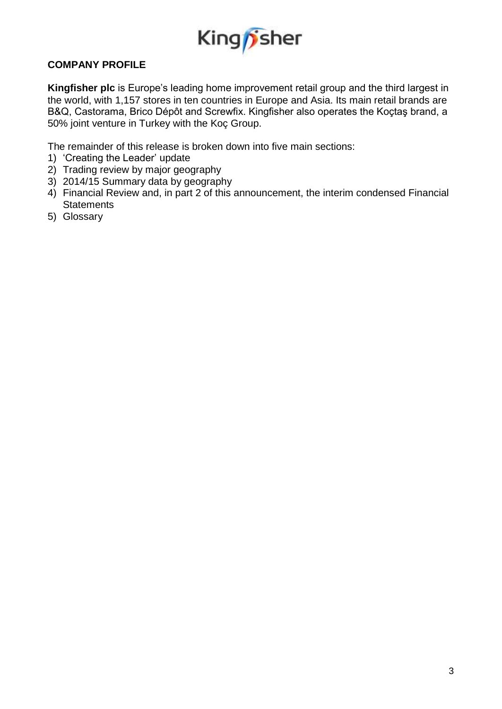

# **COMPANY PROFILE**

**Kingfisher plc** is Europe's leading home improvement retail group and the third largest in the world, with 1,157 stores in ten countries in Europe and Asia. Its main retail brands are B&Q, Castorama, Brico Dépôt and Screwfix. Kingfisher also operates the Koçtaş brand, a 50% joint venture in Turkey with the Koç Group.

The remainder of this release is broken down into five main sections:

- 1) 'Creating the Leader' update
- 2) Trading review by major geography
- 3) 2014/15 Summary data by geography
- 4) Financial Review and, in part 2 of this announcement, the interim condensed Financial **Statements**
- 5) Glossary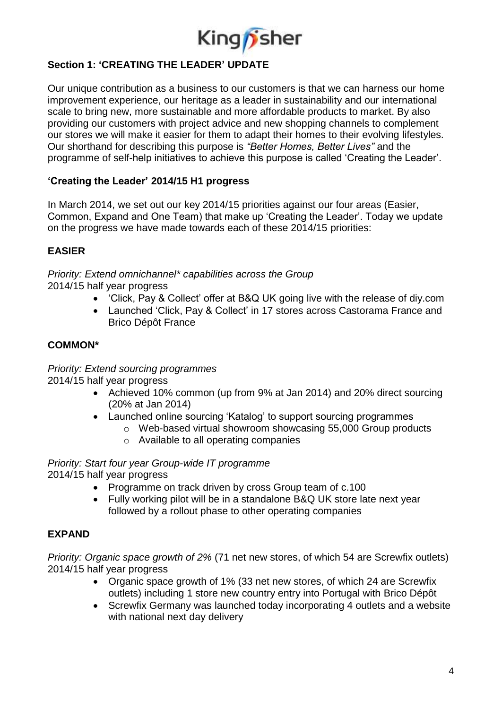

# **Section 1: 'CREATING THE LEADER' UPDATE**

Our unique contribution as a business to our customers is that we can harness our home improvement experience, our heritage as a leader in sustainability and our international scale to bring new, more sustainable and more affordable products to market. By also providing our customers with project advice and new shopping channels to complement our stores we will make it easier for them to adapt their homes to their evolving lifestyles. Our shorthand for describing this purpose is *"Better Homes, Better Lives"* and the programme of self-help initiatives to achieve this purpose is called 'Creating the Leader'.

# **'Creating the Leader' 2014/15 H1 progress**

In March 2014, we set out our key 2014/15 priorities against our four areas (Easier, Common, Expand and One Team) that make up 'Creating the Leader'. Today we update on the progress we have made towards each of these 2014/15 priorities:

# **EASIER**

# *Priority: Extend omnichannel\* capabilities across the Group* 2014/15 half year progress

- 'Click, Pay & Collect' offer at B&Q UK going live with the release of diy.com
- Launched 'Click, Pay & Collect' in 17 stores across Castorama France and Brico Dépôt France

# **COMMON\***

*Priority: Extend sourcing programmes* 2014/15 half year progress

- Achieved 10% common (up from 9% at Jan 2014) and 20% direct sourcing (20% at Jan 2014)
- Launched online sourcing 'Katalog' to support sourcing programmes
	- o Web-based virtual showroom showcasing 55,000 Group products
	- o Available to all operating companies

*Priority: Start four year Group-wide IT programme* 2014/15 half year progress

- Programme on track driven by cross Group team of c.100
- Fully working pilot will be in a standalone B&Q UK store late next year followed by a rollout phase to other operating companies

# **EXPAND**

*Priority: Organic space growth of 2%* (71 net new stores, of which 54 are Screwfix outlets) 2014/15 half year progress

- Organic space growth of 1% (33 net new stores, of which 24 are Screwfix outlets) including 1 store new country entry into Portugal with Brico Dépôt
- Screwfix Germany was launched today incorporating 4 outlets and a website with national next day delivery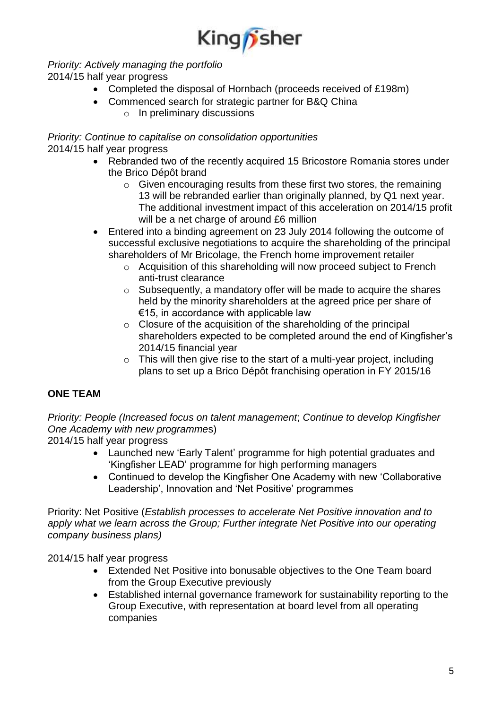

*Priority: Actively managing the portfolio* 2014/15 half year progress

- Completed the disposal of Hornbach (proceeds received of £198m)
- Commenced search for strategic partner for B&Q China
	- $\circ$  In preliminary discussions

*Priority: Continue to capitalise on consolidation opportunities* 2014/15 half year progress

- Rebranded two of the recently acquired 15 Bricostore Romania stores under the Brico Dépôt brand
	- $\circ$  Given encouraging results from these first two stores, the remaining 13 will be rebranded earlier than originally planned, by Q1 next year. The additional investment impact of this acceleration on 2014/15 profit will be a net charge of around £6 million
- Entered into a binding agreement on 23 July 2014 following the outcome of successful exclusive negotiations to acquire the shareholding of the principal shareholders of Mr Bricolage, the French home improvement retailer
	- o Acquisition of this shareholding will now proceed subject to French anti-trust clearance
	- $\circ$  Subsequently, a mandatory offer will be made to acquire the shares held by the minority shareholders at the agreed price per share of €15, in accordance with applicable law
	- o Closure of the acquisition of the shareholding of the principal shareholders expected to be completed around the end of Kingfisher's 2014/15 financial year
	- $\circ$  This will then give rise to the start of a multi-year project, including plans to set up a Brico Dépôt franchising operation in FY 2015/16

# **ONE TEAM**

*Priority: People (Increased focus on talent management*; *Continue to develop Kingfisher One Academy with new programme*s)

2014/15 half year progress

- Launched new 'Early Talent' programme for high potential graduates and 'Kingfisher LEAD' programme for high performing managers
- Continued to develop the Kingfisher One Academy with new 'Collaborative Leadership', Innovation and 'Net Positive' programmes

Priority: Net Positive (*Establish processes to accelerate Net Positive innovation and to apply what we learn across the Group; Further integrate Net Positive into our operating company business plans)*

2014/15 half year progress

- Extended Net Positive into bonusable objectives to the One Team board from the Group Executive previously
- Established internal governance framework for sustainability reporting to the Group Executive, with representation at board level from all operating companies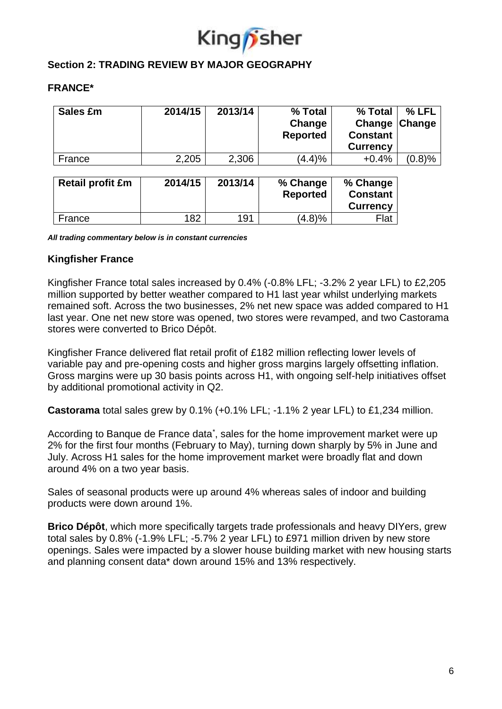

# **Section 2: TRADING REVIEW BY MAJOR GEOGRAPHY**

# **FRANCE\***

| <b>Sales £m</b> | 2014/15 | 2013/14 | % Total<br>Change<br><b>Reported</b> | % Total<br><b>Change Change</b><br><b>Constant</b><br><b>Currency</b> | % LFL  |
|-----------------|---------|---------|--------------------------------------|-----------------------------------------------------------------------|--------|
| France          | 2,205   | 2,306   | (4.4)%                               | $+0.4%$                                                               | (0.8)% |

| Retail profit £m | 2014/15 | 2013/14 | % Change<br><b>Reported</b> | % Change<br><b>Constant</b><br><b>Currency</b> |
|------------------|---------|---------|-----------------------------|------------------------------------------------|
| France           | 182     | 191     | (4.8)%                      | Flat                                           |

*All trading commentary below is in constant currencies*

# **Kingfisher France**

Kingfisher France total sales increased by 0.4% (-0.8% LFL; -3.2% 2 year LFL) to £2,205 million supported by better weather compared to H1 last year whilst underlying markets remained soft. Across the two businesses, 2% net new space was added compared to H1 last year. One net new store was opened, two stores were revamped, and two Castorama stores were converted to Brico Dépôt.

Kingfisher France delivered flat retail profit of £182 million reflecting lower levels of variable pay and pre-opening costs and higher gross margins largely offsetting inflation. Gross margins were up 30 basis points across H1, with ongoing self-help initiatives offset by additional promotional activity in Q2.

**Castorama** total sales grew by 0.1% (+0.1% LFL; -1.1% 2 year LFL) to £1,234 million.

According to Banque de France data*\** , sales for the home improvement market were up 2% for the first four months (February to May), turning down sharply by 5% in June and July. Across H1 sales for the home improvement market were broadly flat and down around 4% on a two year basis.

Sales of seasonal products were up around 4% whereas sales of indoor and building products were down around 1%.

**Brico Dépôt**, which more specifically targets trade professionals and heavy DIYers, grew total sales by 0.8% (-1.9% LFL; -5.7% 2 year LFL) to £971 million driven by new store openings. Sales were impacted by a slower house building market with new housing starts and planning consent data\* down around 15% and 13% respectively.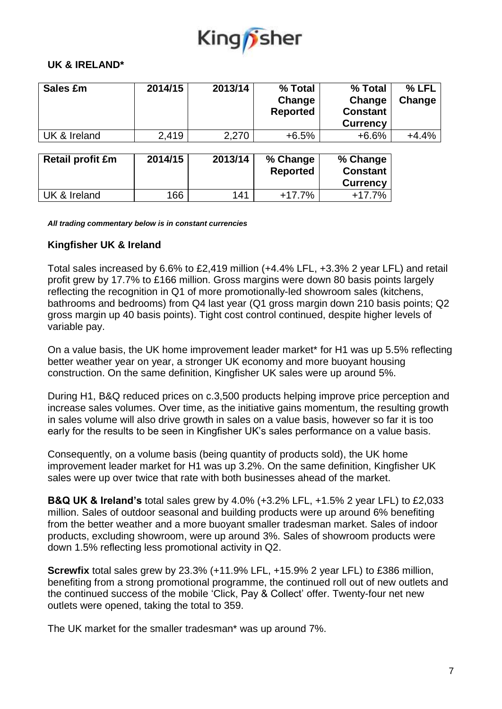

# **UK & IRELAND\***

| Sales £m                | 2014/15 | 2013/14 | % Total<br>Change<br><b>Reported</b> | % Total<br>Change<br><b>Constant</b><br><b>Currency</b>    | $%$ LFL<br>Change |
|-------------------------|---------|---------|--------------------------------------|------------------------------------------------------------|-------------------|
| UK & Ireland            | 2,419   | 2,270   | $+6.5%$                              | $+6.6%$                                                    | $+4.4%$           |
| <b>Retail profit £m</b> | 2014/15 | 2013/14 | % Change<br><b>Reported</b>          | $\sqrt[6]{6}$ Change<br><b>Constant</b><br><b>Currency</b> |                   |
| UK & Ireland            | 166     | 141     | $+17.7%$                             | $+17.7%$                                                   |                   |

*All trading commentary below is in constant currencies*

# **Kingfisher UK & Ireland**

Total sales increased by 6.6% to £2,419 million (+4.4% LFL, +3.3% 2 year LFL) and retail profit grew by 17.7% to £166 million. Gross margins were down 80 basis points largely reflecting the recognition in Q1 of more promotionally-led showroom sales (kitchens, bathrooms and bedrooms) from Q4 last year (Q1 gross margin down 210 basis points; Q2 gross margin up 40 basis points). Tight cost control continued, despite higher levels of variable pay.

On a value basis, the UK home improvement leader market\* for H1 was up 5.5% reflecting better weather year on year, a stronger UK economy and more buoyant housing construction. On the same definition, Kingfisher UK sales were up around 5%.

During H1, B&Q reduced prices on c.3,500 products helping improve price perception and increase sales volumes. Over time, as the initiative gains momentum, the resulting growth in sales volume will also drive growth in sales on a value basis, however so far it is too early for the results to be seen in Kingfisher UK's sales performance on a value basis.

Consequently, on a volume basis (being quantity of products sold), the UK home improvement leader market for H1 was up 3.2%. On the same definition, Kingfisher UK sales were up over twice that rate with both businesses ahead of the market.

**B&Q UK & Ireland's** total sales grew by 4.0% (+3.2% LFL, +1.5% 2 year LFL) to £2,033 million. Sales of outdoor seasonal and building products were up around 6% benefiting from the better weather and a more buoyant smaller tradesman market. Sales of indoor products, excluding showroom, were up around 3%. Sales of showroom products were down 1.5% reflecting less promotional activity in Q2.

**Screwfix** total sales grew by 23.3% (+11.9% LFL, +15.9% 2 year LFL) to £386 million, benefiting from a strong promotional programme, the continued roll out of new outlets and the continued success of the mobile 'Click, Pay & Collect' offer. Twenty-four net new outlets were opened, taking the total to 359.

The UK market for the smaller tradesman\* was up around 7%.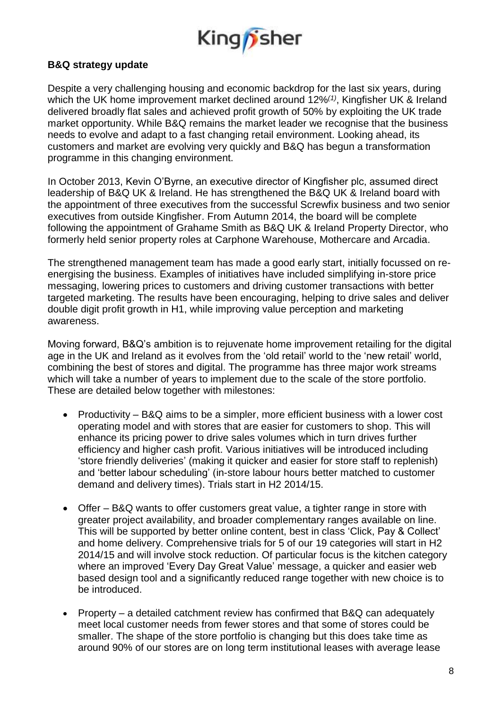

# **B&Q strategy update**

Despite a very challenging housing and economic backdrop for the last six years, during which the UK home improvement market declined around 12%*(1)* , Kingfisher UK & Ireland delivered broadly flat sales and achieved profit growth of 50% by exploiting the UK trade market opportunity. While B&Q remains the market leader we recognise that the business needs to evolve and adapt to a fast changing retail environment. Looking ahead, its customers and market are evolving very quickly and B&Q has begun a transformation programme in this changing environment.

In October 2013, Kevin O'Byrne, an executive director of Kingfisher plc, assumed direct leadership of B&Q UK & Ireland. He has strengthened the B&Q UK & Ireland board with the appointment of three executives from the successful Screwfix business and two senior executives from outside Kingfisher. From Autumn 2014, the board will be complete following the appointment of Grahame Smith as B&Q UK & Ireland Property Director, who formerly held senior property roles at Carphone Warehouse, Mothercare and Arcadia.

The strengthened management team has made a good early start, initially focussed on reenergising the business. Examples of initiatives have included simplifying in-store price messaging, lowering prices to customers and driving customer transactions with better targeted marketing. The results have been encouraging, helping to drive sales and deliver double digit profit growth in H1, while improving value perception and marketing awareness.

Moving forward, B&Q's ambition is to rejuvenate home improvement retailing for the digital age in the UK and Ireland as it evolves from the 'old retail' world to the 'new retail' world, combining the best of stores and digital. The programme has three major work streams which will take a number of years to implement due to the scale of the store portfolio. These are detailed below together with milestones:

- Productivity B&Q aims to be a simpler, more efficient business with a lower cost operating model and with stores that are easier for customers to shop. This will enhance its pricing power to drive sales volumes which in turn drives further efficiency and higher cash profit. Various initiatives will be introduced including 'store friendly deliveries' (making it quicker and easier for store staff to replenish) and 'better labour scheduling' (in-store labour hours better matched to customer demand and delivery times). Trials start in H2 2014/15.
- Offer B&Q wants to offer customers great value, a tighter range in store with greater project availability, and broader complementary ranges available on line. This will be supported by better online content, best in class 'Click, Pay & Collect' and home delivery. Comprehensive trials for 5 of our 19 categories will start in H2 2014/15 and will involve stock reduction. Of particular focus is the kitchen category where an improved 'Every Day Great Value' message, a quicker and easier web based design tool and a significantly reduced range together with new choice is to be introduced.
- Property a detailed catchment review has confirmed that B&Q can adequately meet local customer needs from fewer stores and that some of stores could be smaller. The shape of the store portfolio is changing but this does take time as around 90% of our stores are on long term institutional leases with average lease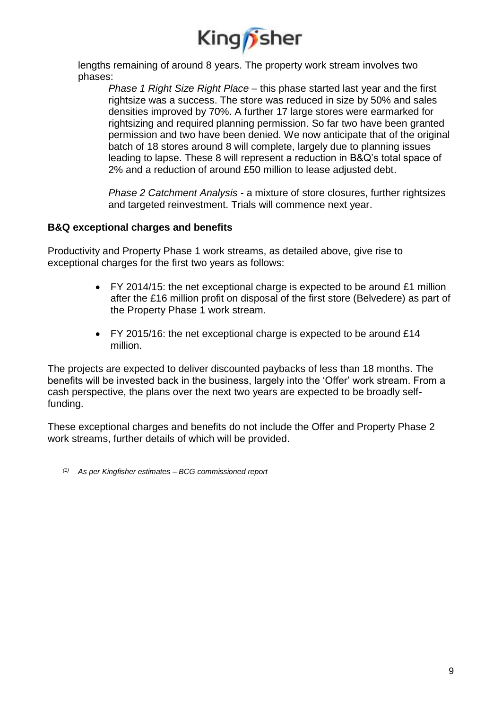

lengths remaining of around 8 years. The property work stream involves two phases:

*Phase 1 Right Size Right Place* – this phase started last year and the first rightsize was a success. The store was reduced in size by 50% and sales densities improved by 70%. A further 17 large stores were earmarked for rightsizing and required planning permission. So far two have been granted permission and two have been denied. We now anticipate that of the original batch of 18 stores around 8 will complete, largely due to planning issues leading to lapse. These 8 will represent a reduction in B&Q's total space of 2% and a reduction of around £50 million to lease adjusted debt.

*Phase 2 Catchment Analysis -* a mixture of store closures, further rightsizes and targeted reinvestment. Trials will commence next year.

# **B&Q exceptional charges and benefits**

Productivity and Property Phase 1 work streams, as detailed above, give rise to exceptional charges for the first two years as follows:

- FY 2014/15: the net exceptional charge is expected to be around £1 million after the £16 million profit on disposal of the first store (Belvedere) as part of the Property Phase 1 work stream.
- FY 2015/16: the net exceptional charge is expected to be around £14 million.

The projects are expected to deliver discounted paybacks of less than 18 months. The benefits will be invested back in the business, largely into the 'Offer' work stream. From a cash perspective, the plans over the next two years are expected to be broadly selffunding.

These exceptional charges and benefits do not include the Offer and Property Phase 2 work streams, further details of which will be provided.

*(1) As per Kingfisher estimates – BCG commissioned report*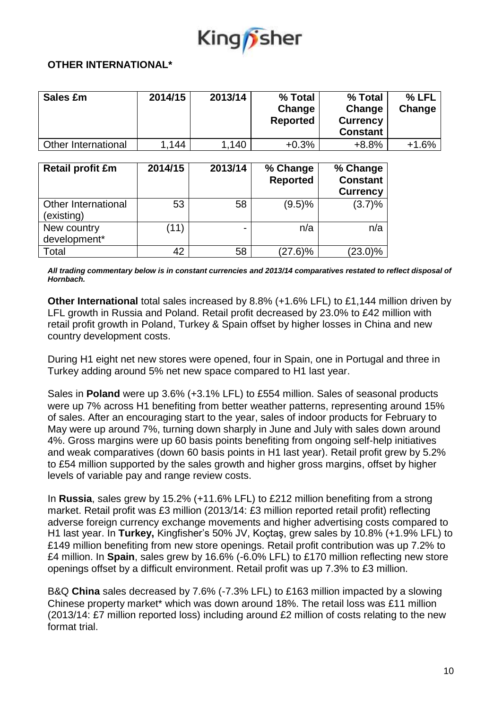

# **OTHER INTERNATIONAL\***

| Sales £m            | 2014/15 | 2013/14 | % Total<br>Change<br>Reported | % Total<br>Change<br><b>Currency</b><br><b>Constant</b> | % LFL<br>Change |
|---------------------|---------|---------|-------------------------------|---------------------------------------------------------|-----------------|
| Other International | 1,144   | 1,140   | $+0.3%$                       | $+8.8%$                                                 | $+1.6%$         |

| <b>Retail profit £m</b>           | 2014/15 | 2013/14 | % Change<br><b>Reported</b> | % Change<br><b>Constant</b><br><b>Currency</b> |
|-----------------------------------|---------|---------|-----------------------------|------------------------------------------------|
| Other International<br>(existing) | 53      | 58      | (9.5)%                      | (3.7)%                                         |
| New country<br>development*       | (11)    |         | n/a                         | n/a                                            |
| Total                             | 42      | 58      | $(27.6)\%$                  | $(23.0)\%$                                     |

*All trading commentary below is in constant currencies and 2013/14 comparatives restated to reflect disposal of Hornbach.* 

**Other International** total sales increased by 8.8% (+1.6% LFL) to £1,144 million driven by LFL growth in Russia and Poland. Retail profit decreased by 23.0% to £42 million with retail profit growth in Poland, Turkey & Spain offset by higher losses in China and new country development costs.

During H1 eight net new stores were opened, four in Spain, one in Portugal and three in Turkey adding around 5% net new space compared to H1 last year.

Sales in **Poland** were up 3.6% (+3.1% LFL) to £554 million. Sales of seasonal products were up 7% across H1 benefiting from better weather patterns, representing around 15% of sales. After an encouraging start to the year, sales of indoor products for February to May were up around 7%, turning down sharply in June and July with sales down around 4%. Gross margins were up 60 basis points benefiting from ongoing self-help initiatives and weak comparatives (down 60 basis points in H1 last year). Retail profit grew by 5.2% to £54 million supported by the sales growth and higher gross margins, offset by higher levels of variable pay and range review costs.

In **Russia**, sales grew by 15.2% (+11.6% LFL) to £212 million benefiting from a strong market. Retail profit was £3 million (2013/14: £3 million reported retail profit) reflecting adverse foreign currency exchange movements and higher advertising costs compared to H1 last year. In **Turkey,** Kingfisher's 50% JV, Koçtaş, grew sales by 10.8% (+1.9% LFL) to £149 million benefiting from new store openings. Retail profit contribution was up 7.2% to £4 million. In **Spain**, sales grew by 16.6% (-6.0% LFL) to £170 million reflecting new store openings offset by a difficult environment. Retail profit was up 7.3% to £3 million.

B&Q **China** sales decreased by 7.6% (-7.3% LFL) to £163 million impacted by a slowing Chinese property market\* which was down around 18%. The retail loss was £11 million (2013/14: £7 million reported loss) including around £2 million of costs relating to the new format trial.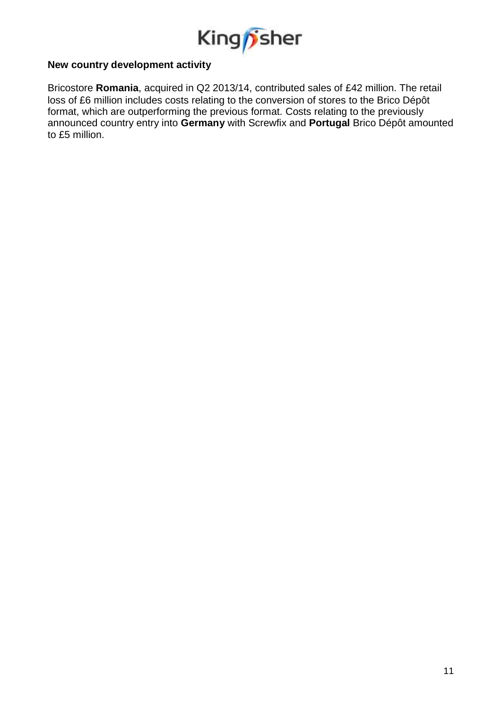

# **New country development activity**

Bricostore **Romania**, acquired in Q2 2013/14, contributed sales of £42 million. The retail loss of £6 million includes costs relating to the conversion of stores to the Brico Dépôt format, which are outperforming the previous format. Costs relating to the previously announced country entry into **Germany** with Screwfix and **Portugal** Brico Dépôt amounted to £5 million.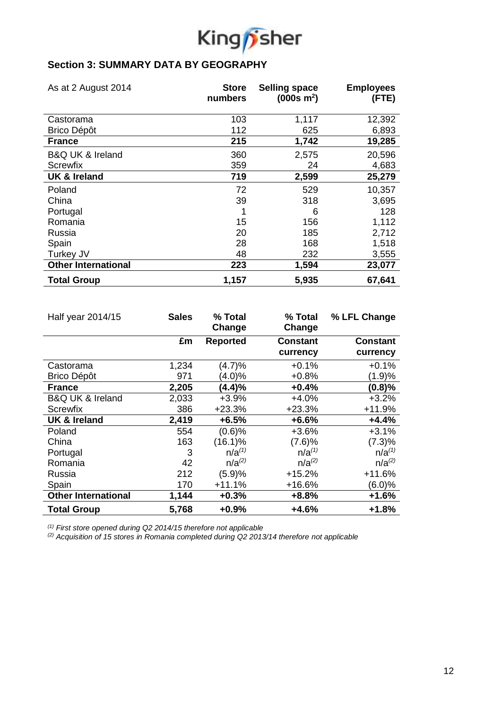

# **Section 3: SUMMARY DATA BY GEOGRAPHY**

| As at 2 August 2014             | <b>Store</b><br>numbers | <b>Selling space</b><br>(000s m <sup>2</sup> ) | <b>Employees</b><br>(FTE) |
|---------------------------------|-------------------------|------------------------------------------------|---------------------------|
| Castorama                       | 103                     | 1,117                                          | 12,392                    |
| Brico Dépôt                     | 112                     | 625                                            | 6,893                     |
| <b>France</b>                   | 215                     | 1,742                                          | 19,285                    |
| <b>B&amp;Q UK &amp; Ireland</b> | 360                     | 2,575                                          | 20,596                    |
| Screwfix                        | 359                     | 24                                             | 4,683                     |
| <b>UK &amp; Ireland</b>         | 719                     | 2,599                                          | 25,279                    |
| Poland                          | 72                      | 529                                            | 10,357                    |
| China                           | 39                      | 318                                            | 3,695                     |
| Portugal                        |                         | 6                                              | 128                       |
| Romania                         | 15                      | 156                                            | 1,112                     |
| Russia                          | 20                      | 185                                            | 2,712                     |
| Spain                           | 28                      | 168                                            | 1,518                     |
| Turkey JV                       | 48                      | 232                                            | 3,555                     |
| <b>Other International</b>      | 223                     | 1,594                                          | 23,077                    |
| <b>Total Group</b>              | 1,157                   | 5,935                                          | 67,641                    |

| Half year 2014/15               | <b>Sales</b> | % Total<br>Change | % Total<br>Change | % LFL Change    |
|---------------------------------|--------------|-------------------|-------------------|-----------------|
|                                 | £m           | <b>Reported</b>   | <b>Constant</b>   | <b>Constant</b> |
|                                 |              |                   | currency          | currency        |
| Castorama                       | 1,234        | (4.7)%            | $+0.1%$           | $+0.1%$         |
| <b>Brico Dépôt</b>              | 971          | $(4.0)\%$         | $+0.8%$           | (1.9)%          |
| <b>France</b>                   | 2,205        | (4.4)%            | $+0.4%$           | (0.8)%          |
| <b>B&amp;Q UK &amp; Ireland</b> | 2,033        | $+3.9%$           | $+4.0%$           | $+3.2%$         |
| Screwfix                        | 386          | $+23.3%$          | $+23.3%$          | $+11.9%$        |
| <b>UK &amp; Ireland</b>         | 2,419        | $+6.5%$           | $+6.6%$           | $+4.4%$         |
| Poland                          | 554          | (0.6)%            | $+3.6%$           | $+3.1%$         |
| China                           | 163          | $(16.1)\%$        | (7.6)%            | (7.3)%          |
| Portugal                        | 3            | $n/a^{(1)}$       | $n/a^{(1)}$       | $n/a^{(1)}$     |
| Romania                         | 42           | $n/a^{(2)}$       | $n/a^{(2)}$       | $n/a^{(2)}$     |
| Russia                          | 212          | (5.9)%            | $+15.2%$          | $+11.6%$        |
| Spain                           | 170          | $+11.1%$          | $+16.6%$          | $(6.0)\%$       |
| <b>Other International</b>      | 1,144        | $+0.3%$           | +8.8%             | $+1.6%$         |
| <b>Total Group</b>              | 5,768        | $+0.9%$           | +4.6%             | $+1.8%$         |

*(1) First store opened during Q2 2014/15 therefore not applicable*

*(2) Acquisition of 15 stores in Romania completed during Q2 2013/14 therefore not applicable*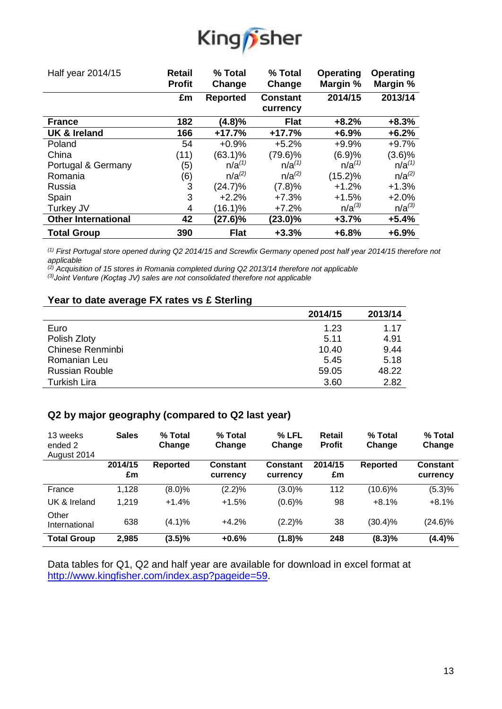

| Half year 2014/15          | Retail<br><b>Profit</b> | % Total<br>Change | % Total<br>Change           | <b>Operating</b><br>Margin % | <b>Operating</b><br>Margin % |
|----------------------------|-------------------------|-------------------|-----------------------------|------------------------------|------------------------------|
|                            | £m                      | <b>Reported</b>   | <b>Constant</b><br>currency | 2014/15                      | 2013/14                      |
| <b>France</b>              | 182                     | (4.8)%            | <b>Flat</b>                 | $+8.2%$                      | $+8.3%$                      |
| <b>UK &amp; Ireland</b>    | 166                     | $+17.7%$          | $+17.7%$                    | $+6.9%$                      | $+6.2%$                      |
| Poland                     | 54                      | $+0.9%$           | $+5.2%$                     | $+9.9%$                      | $+9.7%$                      |
| China                      | (11)                    | $(63.1)\%$        | $(79.6)\%$                  | (6.9)%                       | $(3.6)\%$                    |
| Portugal & Germany         | (5)                     | $n/a^{(1)}$       | $n/a^{(1)}$                 | $n/a^{(1)}$                  | $n/a^{(1)}$                  |
| Romania                    | (6)                     | $n/a^{(2)}$       | $n/a^{(2)}$                 | $(15.2)\%$                   | $n/a^{(2)}$                  |
| Russia                     | 3                       | (24.7)%           | (7.8)%                      | $+1.2%$                      | $+1.3%$                      |
| Spain                      | 3                       | $+2.2%$           | $+7.3%$                     | $+1.5%$                      | $+2.0%$                      |
| Turkey JV                  | 4                       | (16.1)%           | $+7.2%$                     | $n/a^{(3)}$                  | $n/a^{(3)}$                  |
| <b>Other International</b> | 42                      | (27.6)%           | $(23.0)\%$                  | $+3.7%$                      | $+5.4%$                      |
| <b>Total Group</b>         | 390                     | <b>Flat</b>       | $+3.3%$                     | $+6.8%$                      | $+6.9%$                      |

*(1) First Portugal store opened during Q2 2014/15 and Screwfix Germany opened post half year 2014/15 therefore not applicable*

*(2) Acquisition of 15 stores in Romania completed during Q2 2013/14 therefore not applicable*

*(3)Joint Venture (Koçtaş JV) sales are not consolidated therefore not applicable* 

#### **Year to date average FX rates vs £ Sterling**

|                       | 2014/15 | 2013/14 |
|-----------------------|---------|---------|
| Euro                  | 1.23    | 1.17    |
| Polish Zloty          | 5.11    | 4.91    |
| Chinese Renminbi      | 10.40   | 9.44    |
| Romanian Leu          | 5.45    | 5.18    |
| <b>Russian Rouble</b> | 59.05   | 48.22   |
| <b>Turkish Lira</b>   | 3.60    | 2.82    |

# **Q2 by major geography (compared to Q2 last year)**

| 13 weeks<br>ended 2<br>August 2014 | <b>Sales</b>  | % Total<br>Change | % Total<br>Change    | % LFL<br>Change             | Retail<br><b>Profit</b> | % Total<br>Change | % Total<br>Change    |
|------------------------------------|---------------|-------------------|----------------------|-----------------------------|-------------------------|-------------------|----------------------|
|                                    | 2014/15<br>£m | Reported          | Constant<br>currency | <b>Constant</b><br>currency | 2014/15<br>£m           | <b>Reported</b>   | Constant<br>currency |
| France                             | 1.128         | (8.0)%            | (2.2)%               | (3.0)%                      | 112                     | (10.6)%           | (5.3)%               |
| UK & Ireland                       | 1.219         | $+1.4%$           | $+1.5%$              | (0.6)%                      | 98                      | $+8.1%$           | $+8.1%$              |
| Other<br>International             | 638           | (4.1)%            | $+4.2%$              | $(2.2)\%$                   | 38                      | (30.4)%           | $(24.6)\%$           |
| <b>Total Group</b>                 | 2,985         | $(3.5)\%$         | $+0.6%$              | (1.8)%                      | 248                     | (8.3)%            | (4.4)%               |

Data tables for Q1, Q2 and half year are available for download in excel format at [http://www.kingfisher.com/index.asp?pageide=59.](http://www.kingfisher.com/index.asp?pageide=59)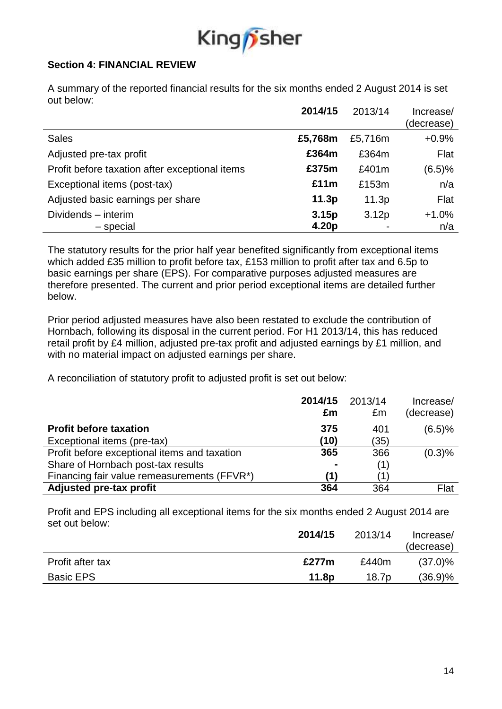

# **Section 4: FINANCIAL REVIEW**

A summary of the reported financial results for the six months ended 2 August 2014 is set out below:

|                                                | 2014/15 | 2013/14 | Increase/<br>(decrease) |
|------------------------------------------------|---------|---------|-------------------------|
| <b>Sales</b>                                   | £5,768m | £5,716m | $+0.9%$                 |
| Adjusted pre-tax profit                        | £364m   | £364m   | Flat                    |
| Profit before taxation after exceptional items | £375m   | £401m   | (6.5)%                  |
| Exceptional items (post-tax)                   | £11m    | £153m   | n/a                     |
| Adjusted basic earnings per share              | 11.3p   | 11.3p   | Flat                    |
| Dividends - interim                            | 3.15p   | 3.12p   | $+1.0%$                 |
| $-$ special                                    | 4.20p   |         | n/a                     |

The statutory results for the prior half year benefited significantly from exceptional items which added £35 million to profit before tax, £153 million to profit after tax and 6.5p to basic earnings per share (EPS). For comparative purposes adjusted measures are therefore presented. The current and prior period exceptional items are detailed further below.

Prior period adjusted measures have also been restated to exclude the contribution of Hornbach, following its disposal in the current period. For H1 2013/14, this has reduced retail profit by £4 million, adjusted pre-tax profit and adjusted earnings by £1 million, and with no material impact on adjusted earnings per share.

A reconciliation of statutory profit to adjusted profit is set out below:

|                                              |                | 2014/15 2013/14 | Increase/  |
|----------------------------------------------|----------------|-----------------|------------|
|                                              | £m             | £m              | (decrease) |
| <b>Profit before taxation</b>                | 375            | 401             | (6.5)%     |
| Exceptional items (pre-tax)                  | (10)           | (35)            |            |
| Profit before exceptional items and taxation | 365            | 366             | (0.3)%     |
| Share of Hornbach post-tax results           | $\blacksquare$ | (1)             |            |
| Financing fair value remeasurements (FFVR*)  | (1)            |                 |            |
| Adjusted pre-tax profit                      | 364            | 364             | Flat       |

Profit and EPS including all exceptional items for the six months ended 2 August 2014 are set out below:

|                  | 2014/15 | 2013/14 | Increase/  |
|------------------|---------|---------|------------|
|                  |         |         | (decrease) |
| Profit after tax | £277m   | £440m   | $(37.0)\%$ |
| <b>Basic EPS</b> | 11.8p   | 18.7p   | $(36.9)\%$ |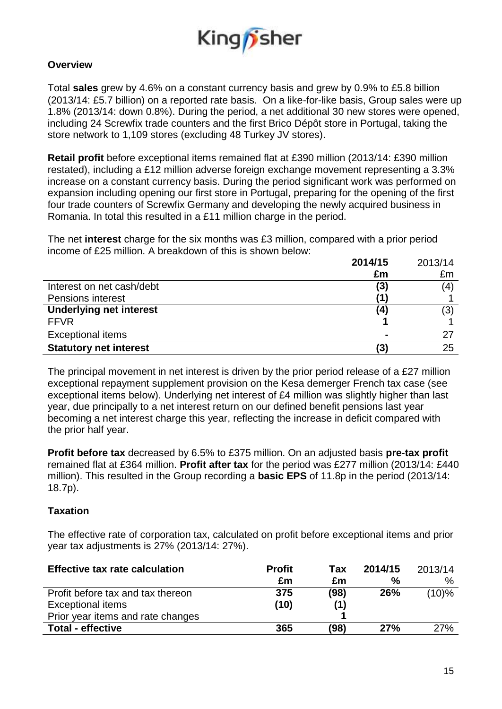

# **Overview**

Total **sales** grew by 4.6% on a constant currency basis and grew by 0.9% to £5.8 billion (2013/14: £5.7 billion) on a reported rate basis. On a like-for-like basis, Group sales were up 1.8% (2013/14: down 0.8%). During the period, a net additional 30 new stores were opened, including 24 Screwfix trade counters and the first Brico Dépôt store in Portugal, taking the store network to 1,109 stores (excluding 48 Turkey JV stores).

**Retail profit** before exceptional items remained flat at £390 million (2013/14: £390 million restated), including a £12 million adverse foreign exchange movement representing a 3.3% increase on a constant currency basis. During the period significant work was performed on expansion including opening our first store in Portugal, preparing for the opening of the first four trade counters of Screwfix Germany and developing the newly acquired business in Romania. In total this resulted in a £11 million charge in the period.

The net **interest** charge for the six months was £3 million, compared with a prior period income of £25 million. A breakdown of this is shown below:

|                                | 2014/15 | 2013/14 |
|--------------------------------|---------|---------|
|                                | £m      | £m      |
| Interest on net cash/debt      | (3)     | (4)     |
| Pensions interest              |         |         |
| <b>Underlying net interest</b> | (4)     | (3)     |
| <b>FFVR</b>                    |         |         |
| <b>Exceptional items</b>       |         | 27      |
| <b>Statutory net interest</b>  |         | 25      |

The principal movement in net interest is driven by the prior period release of a £27 million exceptional repayment supplement provision on the Kesa demerger French tax case (see exceptional items below). Underlying net interest of £4 million was slightly higher than last year, due principally to a net interest return on our defined benefit pensions last year becoming a net interest charge this year, reflecting the increase in deficit compared with the prior half year.

**Profit before tax** decreased by 6.5% to £375 million. On an adjusted basis **pre-tax profit** remained flat at £364 million. **Profit after tax** for the period was £277 million (2013/14: £440 million). This resulted in the Group recording a **basic EPS** of 11.8p in the period (2013/14: 18.7p).

# **Taxation**

The effective rate of corporation tax, calculated on profit before exceptional items and prior year tax adjustments is 27% (2013/14: 27%).

| <b>Effective tax rate calculation</b> | <b>Profit</b> | Tax  | 2014/15 | 2013/14  |
|---------------------------------------|---------------|------|---------|----------|
|                                       | £m            | £m   | %       | ℅        |
| Profit before tax and tax thereon     | 375           | (98) | 26%     | $(10)\%$ |
| <b>Exceptional items</b>              | (10)          | (1)  |         |          |
| Prior year items and rate changes     |               |      |         |          |
| <b>Total - effective</b>              | 365           | (98) | 27%     | 27%      |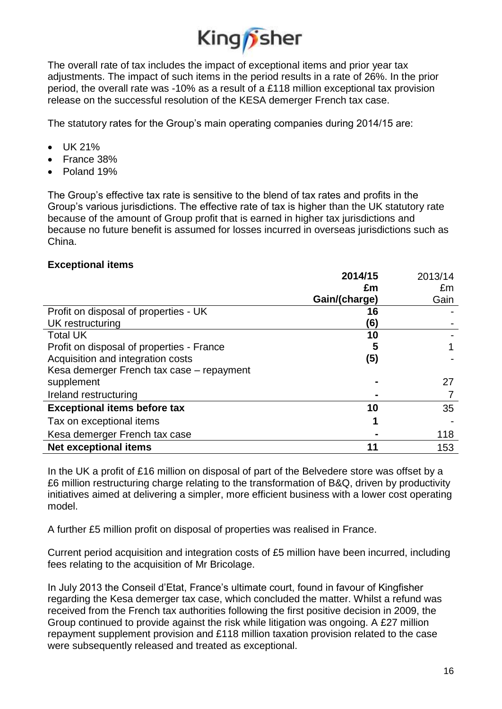

The overall rate of tax includes the impact of exceptional items and prior year tax adjustments. The impact of such items in the period results in a rate of 26%. In the prior period, the overall rate was -10% as a result of a £118 million exceptional tax provision release on the successful resolution of the KESA demerger French tax case.

The statutory rates for the Group's main operating companies during 2014/15 are:

- UK 21%
- France 38%
- Poland 19%

The Group's effective tax rate is sensitive to the blend of tax rates and profits in the Group's various jurisdictions. The effective rate of tax is higher than the UK statutory rate because of the amount of Group profit that is earned in higher tax jurisdictions and because no future benefit is assumed for losses incurred in overseas jurisdictions such as China.

# **Exceptional items**

|                                           | 2014/15       | 2013/14 |
|-------------------------------------------|---------------|---------|
|                                           | £m            | £m      |
|                                           | Gain/(charge) | Gain    |
| Profit on disposal of properties - UK     | 16            |         |
| UK restructuring                          | (6)           |         |
| <b>Total UK</b>                           | 10            |         |
| Profit on disposal of properties - France | 5             |         |
| Acquisition and integration costs         | (5)           |         |
| Kesa demerger French tax case – repayment |               |         |
| supplement                                |               | 27      |
| Ireland restructuring                     |               |         |
| <b>Exceptional items before tax</b>       | 10            | 35      |
| Tax on exceptional items                  |               |         |
| Kesa demerger French tax case             |               | 118     |
| <b>Net exceptional items</b>              |               | 153     |

In the UK a profit of £16 million on disposal of part of the Belvedere store was offset by a £6 million restructuring charge relating to the transformation of B&Q, driven by productivity initiatives aimed at delivering a simpler, more efficient business with a lower cost operating model.

A further £5 million profit on disposal of properties was realised in France.

Current period acquisition and integration costs of £5 million have been incurred, including fees relating to the acquisition of Mr Bricolage.

In July 2013 the Conseil d'Etat, France's ultimate court, found in favour of Kingfisher regarding the Kesa demerger tax case, which concluded the matter. Whilst a refund was received from the French tax authorities following the first positive decision in 2009, the Group continued to provide against the risk while litigation was ongoing. A £27 million repayment supplement provision and £118 million taxation provision related to the case were subsequently released and treated as exceptional.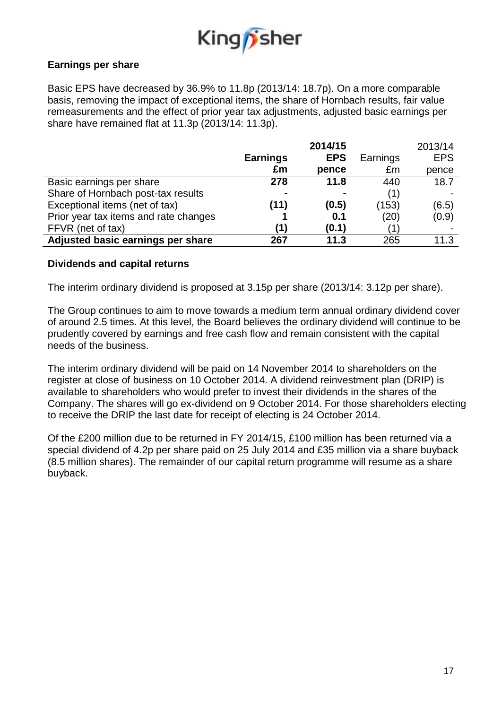# King*r*isher

# **Earnings per share**

Basic EPS have decreased by 36.9% to 11.8p (2013/14: 18.7p). On a more comparable basis, removing the impact of exceptional items, the share of Hornbach results, fair value remeasurements and the effect of prior year tax adjustments, adjusted basic earnings per share have remained flat at 11.3p (2013/14: 11.3p).

|                                       |                 | 2014/15    |          | 2013/14    |
|---------------------------------------|-----------------|------------|----------|------------|
|                                       | <b>Earnings</b> | <b>EPS</b> | Earnings | <b>EPS</b> |
|                                       | £m              | pence      | £m       | pence      |
| Basic earnings per share              | 278             | 11.8       | 440      | 18.7       |
| Share of Hornbach post-tax results    |                 |            | (1)      |            |
| Exceptional items (net of tax)        | (11)            | (0.5)      | (153)    | (6.5)      |
| Prior year tax items and rate changes |                 | 0.1        | (20)     | (0.9)      |
| FFVR (net of tax)                     | (1)             | (0.1)      |          |            |
| Adjusted basic earnings per share     | 267             | 11.3       | 265      | 11.3       |

# **Dividends and capital returns**

The interim ordinary dividend is proposed at 3.15p per share (2013/14: 3.12p per share).

The Group continues to aim to move towards a medium term annual ordinary dividend cover of around 2.5 times. At this level, the Board believes the ordinary dividend will continue to be prudently covered by earnings and free cash flow and remain consistent with the capital needs of the business.

The interim ordinary dividend will be paid on 14 November 2014 to shareholders on the register at close of business on 10 October 2014. A dividend reinvestment plan (DRIP) is available to shareholders who would prefer to invest their dividends in the shares of the Company. The shares will go ex-dividend on 9 October 2014. For those shareholders electing to receive the DRIP the last date for receipt of electing is 24 October 2014.

Of the £200 million due to be returned in FY 2014/15, £100 million has been returned via a special dividend of 4.2p per share paid on 25 July 2014 and £35 million via a share buyback (8.5 million shares). The remainder of our capital return programme will resume as a share buyback.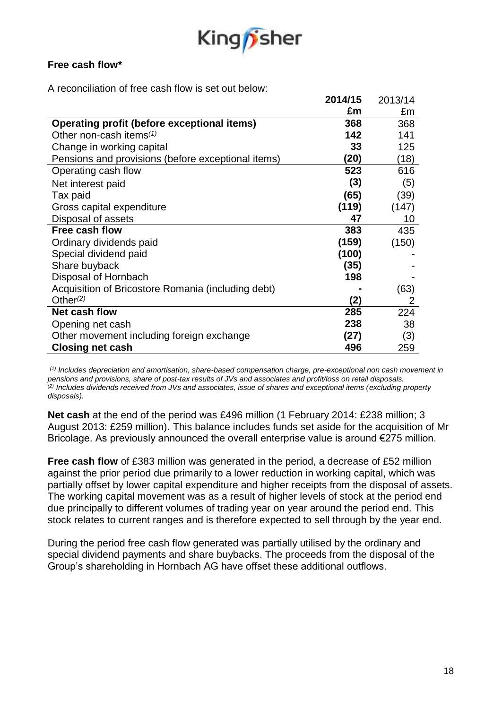

# **Free cash flow\***

A reconciliation of free cash flow is set out below:

|                                                    | 2014/15 | 2013/14 |
|----------------------------------------------------|---------|---------|
|                                                    | £m      | £m      |
| <b>Operating profit (before exceptional items)</b> | 368     | 368     |
| Other non-cash items $(1)$                         | 142     | 141     |
| Change in working capital                          | 33      | 125     |
| Pensions and provisions (before exceptional items) | (20)    | (18)    |
| Operating cash flow                                | 523     | 616     |
| Net interest paid                                  | (3)     | (5)     |
| Tax paid                                           | (65)    | (39)    |
| Gross capital expenditure                          | (119)   | (147)   |
| Disposal of assets                                 | 47      | 10      |
| Free cash flow                                     | 383     | 435     |
| Ordinary dividends paid                            | (159)   | (150)   |
| Special dividend paid                              | (100)   |         |
| Share buyback                                      | (35)    |         |
| Disposal of Hornbach                               | 198     |         |
| Acquisition of Bricostore Romania (including debt) |         | (63)    |
| Other $(2)$                                        | (2)     | 2       |
| <b>Net cash flow</b>                               | 285     | 224     |
| Opening net cash                                   | 238     | 38      |
| Other movement including foreign exchange          | (27)    | (3)     |
| <b>Closing net cash</b>                            | 496     | 259     |

*(1) Includes depreciation and amortisation, share-based compensation charge, pre-exceptional non cash movement in pensions and provisions, share of post-tax results of JVs and associates and profit/loss on retail disposals. (2) Includes dividends received from JVs and associates, issue of shares and exceptional items (excluding property disposals).* 

**Net cash** at the end of the period was £496 million (1 February 2014: £238 million; 3 August 2013: £259 million). This balance includes funds set aside for the acquisition of Mr Bricolage. As previously announced the overall enterprise value is around €275 million.

**Free cash flow** of £383 million was generated in the period, a decrease of £52 million against the prior period due primarily to a lower reduction in working capital, which was partially offset by lower capital expenditure and higher receipts from the disposal of assets. The working capital movement was as a result of higher levels of stock at the period end due principally to different volumes of trading year on year around the period end. This stock relates to current ranges and is therefore expected to sell through by the year end.

During the period free cash flow generated was partially utilised by the ordinary and special dividend payments and share buybacks. The proceeds from the disposal of the Group's shareholding in Hornbach AG have offset these additional outflows.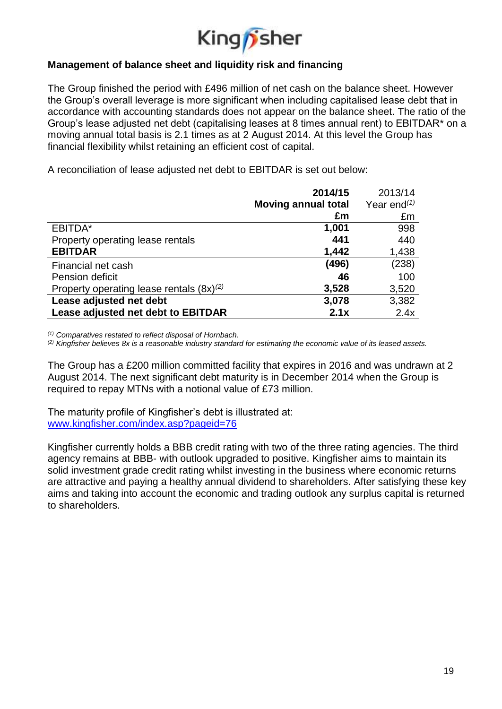

# **Management of balance sheet and liquidity risk and financing**

The Group finished the period with £496 million of net cash on the balance sheet. However the Group's overall leverage is more significant when including capitalised lease debt that in accordance with accounting standards does not appear on the balance sheet. The ratio of the Group's lease adjusted net debt (capitalising leases at 8 times annual rent) to EBITDAR\* on a moving annual total basis is 2.1 times as at 2 August 2014. At this level the Group has financial flexibility whilst retaining an efficient cost of capital.

A reconciliation of lease adjusted net debt to EBITDAR is set out below:

|                                               | 2014/15                    | 2013/14        |
|-----------------------------------------------|----------------------------|----------------|
|                                               | <b>Moving annual total</b> | Year end $(1)$ |
|                                               | £m                         | £m             |
| EBITDA*                                       | 1,001                      | 998            |
| Property operating lease rentals              | 441                        | 440            |
| <b>EBITDAR</b>                                | 1,442                      | 1,438          |
| Financial net cash                            | (496)                      | (238)          |
| Pension deficit                               | 46                         | 100            |
| Property operating lease rentals $(8x)^{(2)}$ | 3,528                      | 3,520          |
| Lease adjusted net debt                       | 3,078                      | 3,382          |
| Lease adjusted net debt to EBITDAR            | 2.1x                       | 2.4x           |

*(1) Comparatives restated to reflect disposal of Hornbach.*

*(2) Kingfisher believes 8x is a reasonable industry standard for estimating the economic value of its leased assets.*

The Group has a £200 million committed facility that expires in 2016 and was undrawn at 2 August 2014. The next significant debt maturity is in December 2014 when the Group is required to repay MTNs with a notional value of £73 million.

The maturity profile of Kingfisher's debt is illustrated at: [www.kingfisher.com/index.asp?pageid=76](http://www.kingfisher.com/index.asp?pageid=76)

Kingfisher currently holds a BBB credit rating with two of the three rating agencies. The third agency remains at BBB- with outlook upgraded to positive. Kingfisher aims to maintain its solid investment grade credit rating whilst investing in the business where economic returns are attractive and paying a healthy annual dividend to shareholders. After satisfying these key aims and taking into account the economic and trading outlook any surplus capital is returned to shareholders.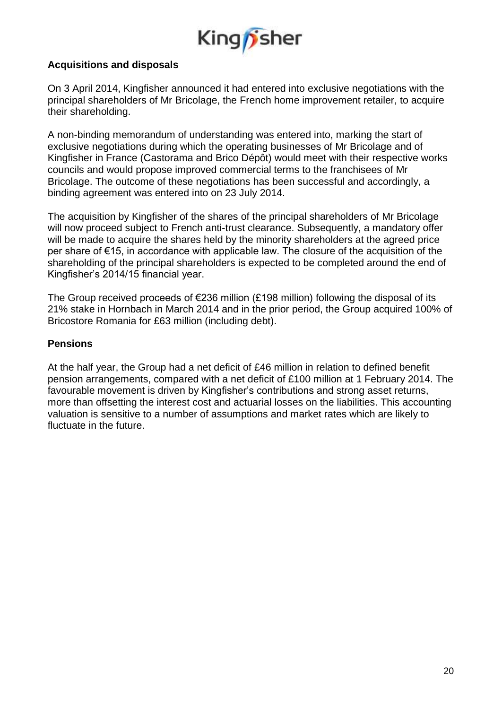

# **Acquisitions and disposals**

On 3 April 2014, Kingfisher announced it had entered into exclusive negotiations with the principal shareholders of Mr Bricolage, the French home improvement retailer, to acquire their shareholding.

A non-binding memorandum of understanding was entered into, marking the start of exclusive negotiations during which the operating businesses of Mr Bricolage and of Kingfisher in France (Castorama and Brico Dépôt) would meet with their respective works councils and would propose improved commercial terms to the franchisees of Mr Bricolage. The outcome of these negotiations has been successful and accordingly, a binding agreement was entered into on 23 July 2014.

The acquisition by Kingfisher of the shares of the principal shareholders of Mr Bricolage will now proceed subject to French anti-trust clearance. Subsequently, a mandatory offer will be made to acquire the shares held by the minority shareholders at the agreed price per share of €15, in accordance with applicable law. The closure of the acquisition of the shareholding of the principal shareholders is expected to be completed around the end of Kingfisher's 2014/15 financial year.

The Group received proceeds of  $E$ 236 million (£198 million) following the disposal of its 21% stake in Hornbach in March 2014 and in the prior period, the Group acquired 100% of Bricostore Romania for £63 million (including debt).

# **Pensions**

At the half year, the Group had a net deficit of £46 million in relation to defined benefit pension arrangements, compared with a net deficit of £100 million at 1 February 2014. The favourable movement is driven by Kingfisher's contributions and strong asset returns, more than offsetting the interest cost and actuarial losses on the liabilities. This accounting valuation is sensitive to a number of assumptions and market rates which are likely to fluctuate in the future.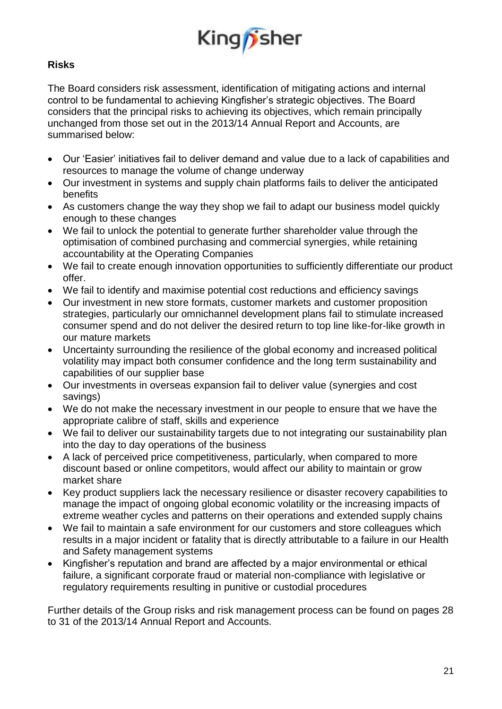

# **Risks**

The Board considers risk assessment, identification of mitigating actions and internal control to be fundamental to achieving Kingfisher's strategic objectives. The Board considers that the principal risks to achieving its objectives, which remain principally unchanged from those set out in the 2013/14 Annual Report and Accounts, are summarised below:

- Our 'Easier' initiatives fail to deliver demand and value due to a lack of capabilities and resources to manage the volume of change underway
- Our investment in systems and supply chain platforms fails to deliver the anticipated benefits
- As customers change the way they shop we fail to adapt our business model quickly enough to these changes
- We fail to unlock the potential to generate further shareholder value through the optimisation of combined purchasing and commercial synergies, while retaining accountability at the Operating Companies
- We fail to create enough innovation opportunities to sufficiently differentiate our product offer.
- We fail to identify and maximise potential cost reductions and efficiency savings
- Our investment in new store formats, customer markets and customer proposition strategies, particularly our omnichannel development plans fail to stimulate increased consumer spend and do not deliver the desired return to top line like-for-like growth in our mature markets
- Uncertainty surrounding the resilience of the global economy and increased political volatility may impact both consumer confidence and the long term sustainability and capabilities of our supplier base
- Our investments in overseas expansion fail to deliver value (synergies and cost savings)
- We do not make the necessary investment in our people to ensure that we have the appropriate calibre of staff, skills and experience
- We fail to deliver our sustainability targets due to not integrating our sustainability plan into the day to day operations of the business
- A lack of perceived price competitiveness, particularly, when compared to more discount based or online competitors, would affect our ability to maintain or grow market share
- Key product suppliers lack the necessary resilience or disaster recovery capabilities to manage the impact of ongoing global economic volatility or the increasing impacts of extreme weather cycles and patterns on their operations and extended supply chains
- We fail to maintain a safe environment for our customers and store colleagues which results in a major incident or fatality that is directly attributable to a failure in our Health and Safety management systems
- Kingfisher's reputation and brand are affected by a major environmental or ethical failure, a significant corporate fraud or material non-compliance with legislative or regulatory requirements resulting in punitive or custodial procedures

Further details of the Group risks and risk management process can be found on pages 28 to 31 of the 2013/14 Annual Report and Accounts.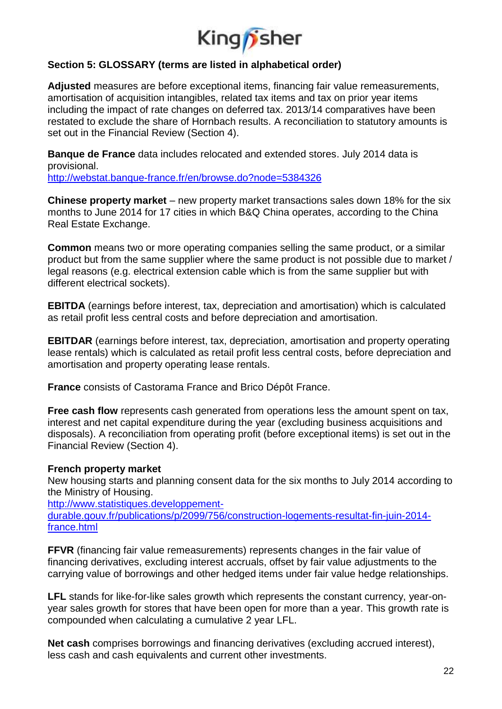

# **Section 5: GLOSSARY (terms are listed in alphabetical order)**

**Adjusted** measures are before exceptional items, financing fair value remeasurements, amortisation of acquisition intangibles, related tax items and tax on prior year items including the impact of rate changes on deferred tax. 2013/14 comparatives have been restated to exclude the share of Hornbach results. A reconciliation to statutory amounts is set out in the Financial Review (Section 4).

**Banque de France** data includes relocated and extended stores. July 2014 data is provisional.

<http://webstat.banque-france.fr/en/browse.do?node=5384326>

**Chinese property market** – new property market transactions sales down 18% for the six months to June 2014 for 17 cities in which B&Q China operates, according to the China Real Estate Exchange.

**Common** means two or more operating companies selling the same product, or a similar product but from the same supplier where the same product is not possible due to market / legal reasons (e.g. electrical extension cable which is from the same supplier but with different electrical sockets).

**EBITDA** (earnings before interest, tax, depreciation and amortisation) which is calculated as retail profit less central costs and before depreciation and amortisation.

**EBITDAR** (earnings before interest, tax, depreciation, amortisation and property operating lease rentals) which is calculated as retail profit less central costs, before depreciation and amortisation and property operating lease rentals.

**France** consists of Castorama France and Brico Dépôt France.

**Free cash flow** represents cash generated from operations less the amount spent on tax, interest and net capital expenditure during the year (excluding business acquisitions and disposals). A reconciliation from operating profit (before exceptional items) is set out in the Financial Review (Section 4).

# **French property market**

New housing starts and planning consent data for the six months to July 2014 according to the Ministry of Housing.

[http://www.statistiques.developpement-](http://www.statistiques.developpement-durable.gouv.fr/publications/p/2099/756/construction-logements-resultat-fin-juin-2014-france.html)

[durable.gouv.fr/publications/p/2099/756/construction-logements-resultat-fin-juin-2014](http://www.statistiques.developpement-durable.gouv.fr/publications/p/2099/756/construction-logements-resultat-fin-juin-2014-france.html) [france.html](http://www.statistiques.developpement-durable.gouv.fr/publications/p/2099/756/construction-logements-resultat-fin-juin-2014-france.html)

**FFVR** (financing fair value remeasurements) represents changes in the fair value of financing derivatives, excluding interest accruals, offset by fair value adjustments to the carrying value of borrowings and other hedged items under fair value hedge relationships.

**LFL** stands for like-for-like sales growth which represents the constant currency, year-onyear sales growth for stores that have been open for more than a year. This growth rate is compounded when calculating a cumulative 2 year LFL.

**Net cash** comprises borrowings and financing derivatives (excluding accrued interest), less cash and cash equivalents and current other investments.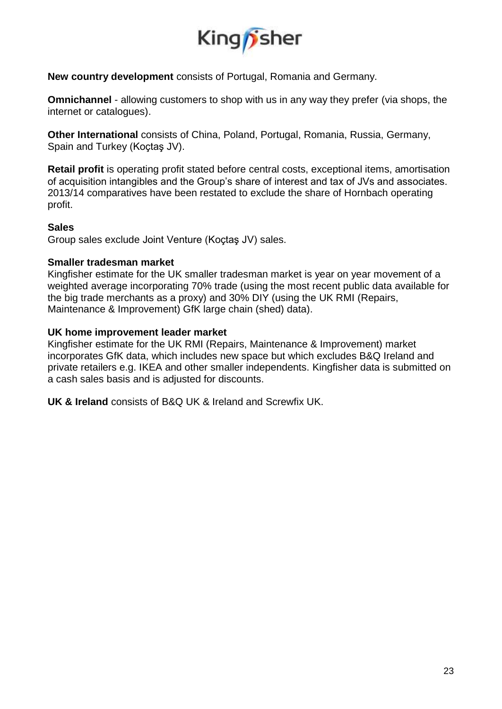

**New country development** consists of Portugal, Romania and Germany.

**Omnichannel** - allowing customers to shop with us in any way they prefer (via shops, the internet or catalogues).

**Other International** consists of China, Poland, Portugal, Romania, Russia, Germany, Spain and Turkey (Koçtaş JV).

**Retail profit** is operating profit stated before central costs, exceptional items, amortisation of acquisition intangibles and the Group's share of interest and tax of JVs and associates. 2013/14 comparatives have been restated to exclude the share of Hornbach operating profit.

# **Sales**

Group sales exclude Joint Venture (Koçtaş JV) sales.

# **Smaller tradesman market**

Kingfisher estimate for the UK smaller tradesman market is year on year movement of a weighted average incorporating 70% trade (using the most recent public data available for the big trade merchants as a proxy) and 30% DIY (using the UK RMI (Repairs, Maintenance & Improvement) GfK large chain (shed) data).

# **UK home improvement leader market**

Kingfisher estimate for the UK RMI (Repairs, Maintenance & Improvement) market incorporates GfK data, which includes new space but which excludes B&Q Ireland and private retailers e.g. IKEA and other smaller independents. Kingfisher data is submitted on a cash sales basis and is adjusted for discounts.

**UK & Ireland** consists of B&Q UK & Ireland and Screwfix UK.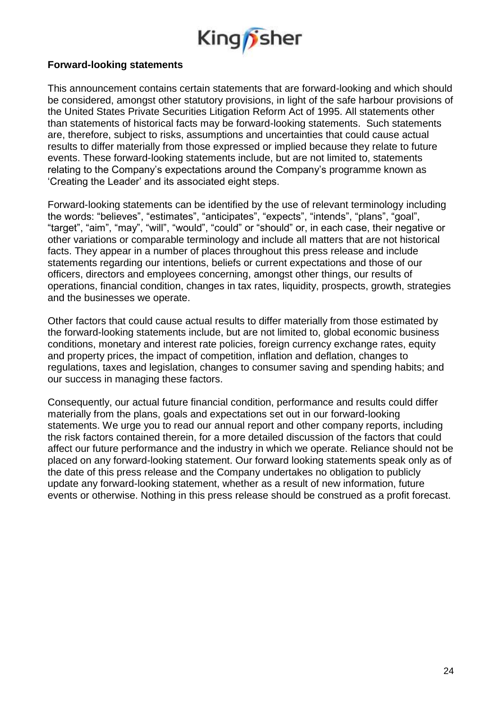

# **Forward-looking statements**

This announcement contains certain statements that are forward-looking and which should be considered, amongst other statutory provisions, in light of the safe harbour provisions of the United States Private Securities Litigation Reform Act of 1995. All statements other than statements of historical facts may be forward-looking statements. Such statements are, therefore, subject to risks, assumptions and uncertainties that could cause actual results to differ materially from those expressed or implied because they relate to future events. These forward-looking statements include, but are not limited to, statements relating to the Company's expectations around the Company's programme known as 'Creating the Leader' and its associated eight steps.

Forward-looking statements can be identified by the use of relevant terminology including the words: "believes", "estimates", "anticipates", "expects", "intends", "plans", "goal", "target", "aim", "may", "will", "would", "could" or "should" or, in each case, their negative or other variations or comparable terminology and include all matters that are not historical facts. They appear in a number of places throughout this press release and include statements regarding our intentions, beliefs or current expectations and those of our officers, directors and employees concerning, amongst other things, our results of operations, financial condition, changes in tax rates, liquidity, prospects, growth, strategies and the businesses we operate.

Other factors that could cause actual results to differ materially from those estimated by the forward-looking statements include, but are not limited to, global economic business conditions, monetary and interest rate policies, foreign currency exchange rates, equity and property prices, the impact of competition, inflation and deflation, changes to regulations, taxes and legislation, changes to consumer saving and spending habits; and our success in managing these factors.

Consequently, our actual future financial condition, performance and results could differ materially from the plans, goals and expectations set out in our forward-looking statements. We urge you to read our annual report and other company reports, including the risk factors contained therein, for a more detailed discussion of the factors that could affect our future performance and the industry in which we operate. Reliance should not be placed on any forward-looking statement. Our forward looking statements speak only as of the date of this press release and the Company undertakes no obligation to publicly update any forward-looking statement, whether as a result of new information, future events or otherwise. Nothing in this press release should be construed as a profit forecast.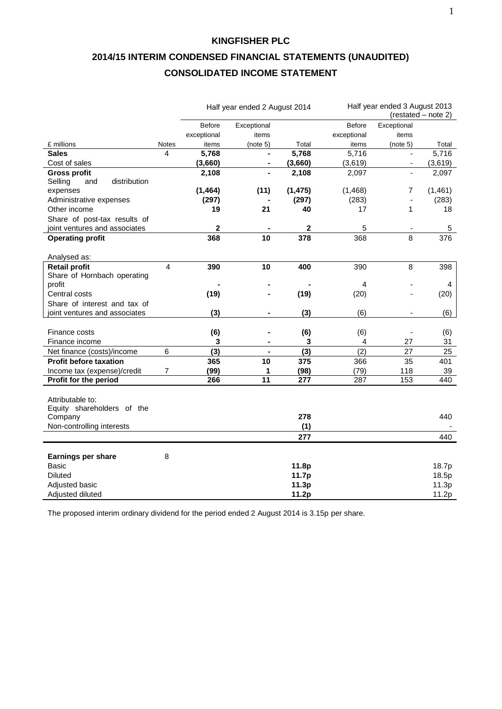# **2014/15 INTERIM CONDENSED FINANCIAL STATEMENTS (UNAUDITED) CONSOLIDATED INCOME STATEMENT**

|                                |                |               | Half year ended 2 August 2014 |          |                | Half year ended 3 August 2013 | (restated – note 2) |
|--------------------------------|----------------|---------------|-------------------------------|----------|----------------|-------------------------------|---------------------|
|                                |                | <b>Before</b> | Exceptional                   |          | <b>Before</b>  | Exceptional                   |                     |
|                                |                | exceptional   | items                         |          | exceptional    | items                         |                     |
| £ millions                     | <b>Notes</b>   | items         | (note 5)                      | Total    | items          | (note 5)                      | Total               |
| <b>Sales</b>                   | 4              | 5,768         | $\blacksquare$                | 5,768    | 5,716          | ÷,                            | 5,716               |
| Cost of sales                  |                | (3,660)       |                               | (3,660)  | (3,619)        | -                             | (3,619)             |
| <b>Gross profit</b>            |                | 2,108         |                               | 2,108    | 2,097          |                               | 2,097               |
| Selling<br>distribution<br>and |                |               |                               |          |                |                               |                     |
| expenses                       |                | (1, 464)      | (11)                          | (1, 475) | (1, 468)       | 7                             | (1,461)             |
| Administrative expenses        |                | (297)         |                               | (297)    | (283)          |                               | (283)               |
| Other income                   |                | 19            | 21                            | 40       | 17             | 1                             | 18                  |
| Share of post-tax results of   |                |               |                               |          |                |                               |                     |
| joint ventures and associates  |                | $\mathbf{2}$  |                               | 2        | 5              |                               | 5                   |
| <b>Operating profit</b>        |                | 368           | 10                            | 378      | 368            | 8                             | 376                 |
|                                |                |               |                               |          |                |                               |                     |
| Analysed as:                   |                |               |                               |          |                |                               |                     |
| <b>Retail profit</b>           | 4              | 390           | 10                            | 400      | 390            | 8                             | 398                 |
| Share of Hornbach operating    |                |               |                               |          |                |                               |                     |
| profit                         |                |               |                               |          | 4              |                               | 4                   |
| Central costs                  |                | (19)          |                               | (19)     | (20)           |                               | (20)                |
| Share of interest and tax of   |                |               |                               |          |                |                               |                     |
| joint ventures and associates  |                | (3)           |                               | (3)      | (6)            |                               | (6)                 |
|                                |                |               |                               |          |                |                               |                     |
| Finance costs                  |                | (6)           |                               | (6)      | (6)            |                               | (6)                 |
| Finance income                 |                | 3             |                               | 3        | $\overline{4}$ | 27                            | 31                  |
| Net finance (costs)/income     | 6              | (3)           | $\blacksquare$                | (3)      | (2)            | 27                            | 25                  |
| <b>Profit before taxation</b>  |                | 365           | 10                            | 375      | 366            | 35                            | 401                 |
| Income tax (expense)/credit    | $\overline{7}$ | (99)          | 1                             | (98)     | (79)           | 118                           | 39                  |
| Profit for the period          |                | 266           | $\overline{11}$               | 277      | 287            | 153                           | 440                 |
|                                |                |               |                               |          |                |                               |                     |
| Attributable to:               |                |               |                               |          |                |                               |                     |
| Equity shareholders of the     |                |               |                               |          |                |                               |                     |
| Company                        |                |               |                               | 278      |                |                               | 440                 |
| Non-controlling interests      |                |               |                               | (1)      |                |                               |                     |
|                                |                |               |                               | 277      |                |                               | 440                 |
| Earnings per share             | 8              |               |                               |          |                |                               |                     |
| Basic                          |                |               |                               | 11.8p    |                |                               | 18.7p               |
|                                |                |               |                               |          |                |                               |                     |
| <b>Diluted</b>                 |                |               |                               | 11.7p    |                |                               | 18.5p               |
| Adjusted basic                 |                |               |                               | 11.3p    |                |                               | 11.3p               |
| Adjusted diluted               |                |               |                               | 11.2p    |                |                               | 11.2p               |

The proposed interim ordinary dividend for the period ended 2 August 2014 is 3.15p per share.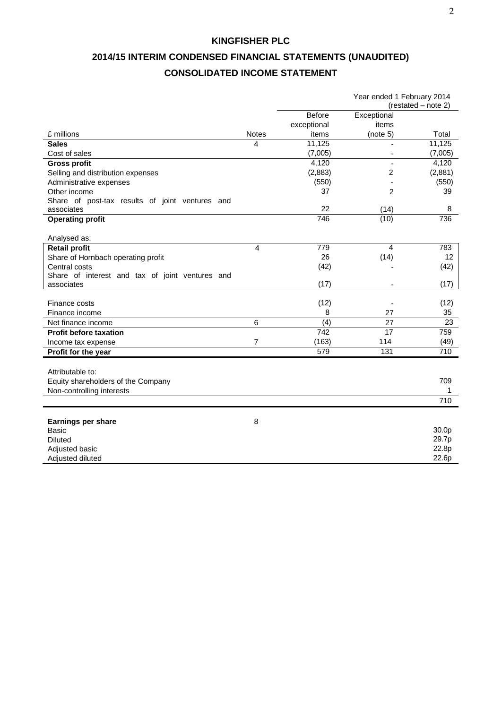# **2014/15 INTERIM CONDENSED FINANCIAL STATEMENTS (UNAUDITED) CONSOLIDATED INCOME STATEMENT**

|                                                 |                |               | Year ended 1 February 2014 |                     |
|-------------------------------------------------|----------------|---------------|----------------------------|---------------------|
|                                                 |                |               |                            | $(rested - note 2)$ |
|                                                 |                | <b>Before</b> | Exceptional                |                     |
|                                                 |                | exceptional   | items                      |                     |
| £ millions                                      | Notes          | items         | (note 5)                   | Total               |
| <b>Sales</b>                                    | 4              | 11,125        | ä,                         | 11,125              |
| Cost of sales                                   |                | (7,005)       |                            | (7,005)             |
| <b>Gross profit</b>                             |                | 4,120         | ÷,                         | 4,120               |
| Selling and distribution expenses               |                | (2,883)       | $\overline{c}$             | (2,881)             |
| Administrative expenses                         |                | (550)         |                            | (550)               |
| Other income                                    |                | 37            | 2                          | 39                  |
| Share of post-tax results of joint ventures and |                |               |                            |                     |
| associates                                      |                | 22            | (14)                       | 8                   |
| <b>Operating profit</b>                         |                | 746           | (10)                       | 736                 |
|                                                 |                |               |                            |                     |
| Analysed as:                                    |                |               |                            |                     |
| <b>Retail profit</b>                            | 4              | 779           | 4                          | 783                 |
| Share of Hornbach operating profit              |                | 26            | (14)                       | 12                  |
| Central costs                                   |                | (42)          |                            | (42)                |
| Share of interest and tax of joint ventures and |                |               |                            |                     |
| associates                                      |                | (17)          |                            | (17)                |
|                                                 |                |               |                            |                     |
| Finance costs                                   |                | (12)          |                            | (12)                |
| Finance income                                  |                | 8             | 27                         | 35                  |
| Net finance income                              | 6              | (4)           | 27                         | 23                  |
| <b>Profit before taxation</b>                   |                | 742           | $\overline{17}$            | 759                 |
| Income tax expense                              | $\overline{7}$ | (163)         | 114                        | (49)                |
| Profit for the year                             |                | 579           | 131                        | 710                 |
|                                                 |                |               |                            |                     |
| Attributable to:                                |                |               |                            |                     |
| Equity shareholders of the Company              |                |               |                            | 709                 |
| Non-controlling interests                       |                |               |                            | 1                   |
|                                                 |                |               |                            | 710                 |
|                                                 |                |               |                            |                     |
| <b>Earnings per share</b>                       | 8              |               |                            |                     |
| <b>Basic</b>                                    |                |               |                            | 30.0p               |
| <b>Diluted</b>                                  |                |               |                            | 29.7p               |
|                                                 |                |               |                            | 22.8p               |
| Adjusted basic<br>Adjusted diluted              |                |               |                            | 22.6p               |
|                                                 |                |               |                            |                     |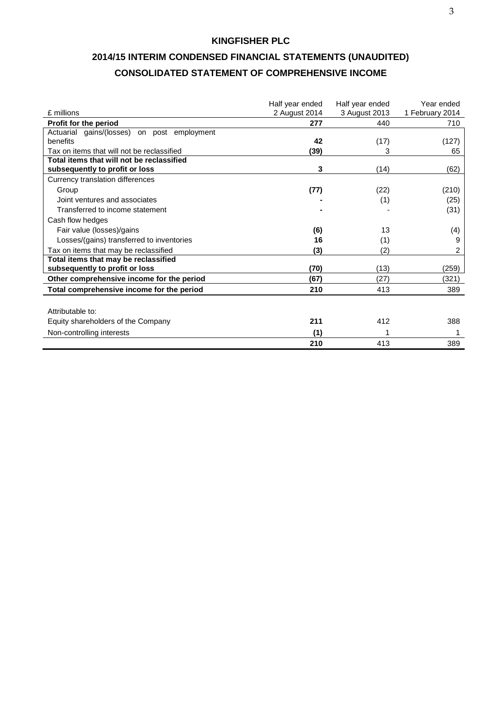# **2014/15 INTERIM CONDENSED FINANCIAL STATEMENTS (UNAUDITED) CONSOLIDATED STATEMENT OF COMPREHENSIVE INCOME**

|                                                   | Half year ended | Half year ended | Year ended      |
|---------------------------------------------------|-----------------|-----------------|-----------------|
| £ millions                                        | 2 August 2014   | 3 August 2013   | 1 February 2014 |
| Profit for the period                             | 277             | 440             | 710             |
| gains/(losses)<br>Actuarial<br>on post employment |                 |                 |                 |
| benefits                                          | 42              | (17)            | (127)           |
| Tax on items that will not be reclassified        | (39)            | 3               | 65              |
| Total items that will not be reclassified         |                 |                 |                 |
| subsequently to profit or loss                    | 3               | (14)            | (62)            |
| Currency translation differences                  |                 |                 |                 |
| Group                                             | (77)            | (22)            | (210)           |
| Joint ventures and associates                     |                 | (1)             | (25)            |
| Transferred to income statement                   |                 |                 | (31)            |
| Cash flow hedges                                  |                 |                 |                 |
| Fair value (losses)/gains                         | (6)             | 13              | (4)             |
| Losses/(gains) transferred to inventories         | 16              | (1)             | 9               |
| Tax on items that may be reclassified             | (3)             | (2)             | $\overline{c}$  |
| Total items that may be reclassified              |                 |                 |                 |
| subsequently to profit or loss                    | (70)            | (13)            | (259)           |
| Other comprehensive income for the period         | (67)            | (27)            | (321)           |
| Total comprehensive income for the period         | 210             | 413             | 389             |
|                                                   |                 |                 |                 |
| Attributable to:                                  |                 |                 |                 |
| Equity shareholders of the Company                | 211             | 412             | 388             |
| Non-controlling interests                         | (1)             | 1               | 1               |
|                                                   | 210             | 413             | 389             |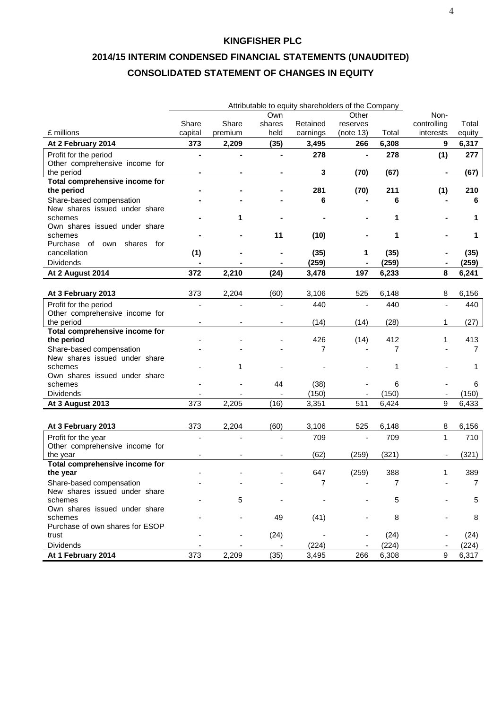# **2014/15 INTERIM CONDENSED FINANCIAL STATEMENTS (UNAUDITED) CONSOLIDATED STATEMENT OF CHANGES IN EQUITY**

|                                     | Attributable to equity shareholders of the Company |         |                          |                |           |       |                          |                |
|-------------------------------------|----------------------------------------------------|---------|--------------------------|----------------|-----------|-------|--------------------------|----------------|
|                                     |                                                    |         | Own                      |                | Other     |       | Non-                     |                |
|                                     | Share                                              | Share   | shares                   | Retained       | reserves  |       | controlling              | Total          |
| £ millions                          | capital                                            | premium | held                     | earnings       | (note 13) | Total | interests                | equity         |
| At 2 February 2014                  | 373                                                | 2,209   | (35)                     | 3,495          | 266       | 6,308 | 9                        | 6,317          |
| Profit for the period               | ÷,                                                 |         | ÷,                       | 278            | ÷,        | 278   | (1)                      | 277            |
| Other comprehensive income for      |                                                    |         |                          |                |           |       |                          |                |
| the period                          |                                                    |         | -                        | 3              | (70)      | (67)  | $\blacksquare$           | (67)           |
| Total comprehensive income for      |                                                    |         |                          |                |           |       |                          |                |
| the period                          |                                                    |         |                          | 281            | (70)      | 211   | (1)                      | 210            |
| Share-based compensation            |                                                    |         |                          | 6              |           | 6     |                          | 6              |
| New shares issued under share       |                                                    |         |                          |                |           |       |                          |                |
| schemes                             |                                                    | 1       |                          |                |           | 1     |                          | 1              |
| Own shares issued under share       |                                                    |         |                          |                |           |       |                          |                |
| schemes                             |                                                    |         | 11                       | (10)           |           | 1     |                          | 1              |
| of own<br>Purchase<br>shares<br>for |                                                    |         |                          |                |           |       |                          |                |
| cancellation                        | (1)                                                |         |                          | (35)           | 1         | (35)  |                          | (35)           |
| <b>Dividends</b>                    |                                                    |         |                          | (259)          |           | (259) |                          | (259)          |
| At 2 August 2014                    | 372                                                | 2,210   | (24)                     | 3,478          | 197       | 6,233 | 8                        | 6,241          |
|                                     |                                                    |         |                          |                |           |       |                          |                |
| At 3 February 2013                  | 373                                                | 2,204   | (60)                     | 3,106          | 525       | 6,148 | 8                        | 6,156          |
| Profit for the period               |                                                    |         |                          | 440            |           | 440   | $\overline{\phantom{a}}$ | 440            |
| Other comprehensive income for      |                                                    |         |                          |                |           |       |                          |                |
| the period                          |                                                    |         |                          | (14)           | (14)      | (28)  | 1                        | (27)           |
| Total comprehensive income for      |                                                    |         |                          |                |           |       |                          |                |
| the period                          |                                                    |         |                          | 426            | (14)      | 412   | 1                        | 413            |
| Share-based compensation            |                                                    |         |                          | 7              |           | 7     |                          | 7              |
| New shares issued under share       |                                                    |         |                          |                |           |       |                          |                |
| schemes                             |                                                    | 1       |                          |                |           | 1     |                          | 1              |
| Own shares issued under share       |                                                    |         |                          |                |           |       |                          |                |
| schemes                             |                                                    |         | 44                       | (38)           |           | 6     |                          | 6              |
| <b>Dividends</b>                    |                                                    |         | $\overline{\phantom{a}}$ | (150)          |           | (150) |                          | (150)          |
| At 3 August 2013                    | 373                                                | 2,205   | (16)                     | 3,351          | 511       | 6,424 | 9                        | 6,433          |
|                                     |                                                    |         |                          |                |           |       |                          |                |
| At 3 February 2013                  | 373                                                | 2,204   | (60)                     | 3,106          | 525       | 6,148 | 8                        | 6,156          |
| Profit for the year                 |                                                    |         |                          | 709            |           | 709   | 1                        | 710            |
| Other comprehensive income for      |                                                    |         |                          |                |           |       |                          |                |
| the year                            |                                                    |         |                          | (62)           | (259)     | (321) |                          | (321)          |
| Total comprehensive income for      |                                                    |         |                          |                |           |       |                          |                |
| the year                            |                                                    |         |                          | 647            | (259)     | 388   | 1                        | 389            |
| Share-based compensation            |                                                    |         |                          | $\overline{7}$ |           | 7     |                          | $\overline{7}$ |
| New shares issued under share       |                                                    |         |                          |                |           |       |                          |                |
| schemes                             |                                                    | 5       |                          |                |           | 5     |                          | 5              |
| Own shares issued under share       |                                                    |         |                          |                |           |       |                          |                |
| schemes                             |                                                    |         | 49                       | (41)           |           | 8     |                          | 8              |
| Purchase of own shares for ESOP     |                                                    |         |                          |                |           |       |                          |                |
| trust                               |                                                    |         | (24)                     |                |           | (24)  |                          | (24)           |
| Dividends                           |                                                    |         |                          | (224)          |           | (224) |                          | (224)          |
| At 1 February 2014                  | 373                                                | 2,209   | (35)                     | 3,495          | 266       | 6,308 | 9                        | 6,317          |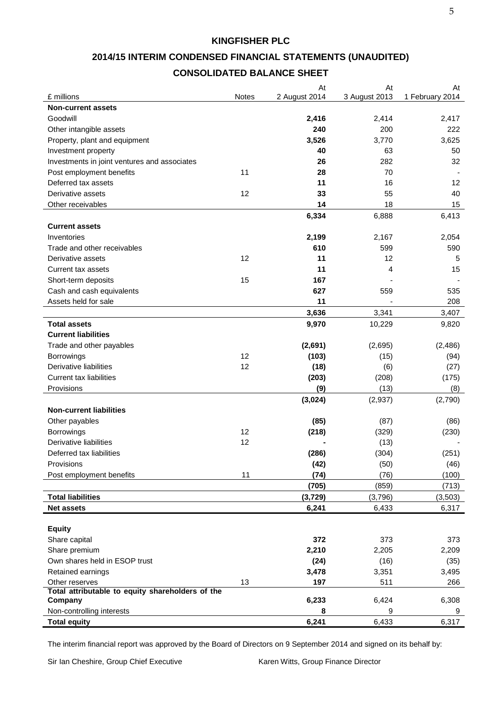**2014/15 INTERIM CONDENSED FINANCIAL STATEMENTS (UNAUDITED)**

### **CONSOLIDATED BALANCE SHEET**

|                                                                    |              | At               | At            | At              |
|--------------------------------------------------------------------|--------------|------------------|---------------|-----------------|
| £ millions                                                         | <b>Notes</b> | 2 August 2014    | 3 August 2013 | 1 February 2014 |
| <b>Non-current assets</b>                                          |              |                  |               |                 |
| Goodwill                                                           |              | 2,416            | 2,414         | 2,417           |
| Other intangible assets                                            |              | 240              | 200           | 222             |
| Property, plant and equipment                                      |              | 3,526            | 3,770         | 3,625           |
| Investment property                                                |              | 40               | 63            | 50              |
| Investments in joint ventures and associates                       |              | 26               | 282           | 32              |
| Post employment benefits                                           | 11           | 28               | 70            |                 |
| Deferred tax assets                                                |              | 11               | 16            | 12              |
| Derivative assets                                                  | 12           | 33               | 55            | 40              |
| Other receivables                                                  |              | 14               | 18            | 15              |
|                                                                    |              | 6,334            | 6,888         | 6,413           |
| <b>Current assets</b>                                              |              |                  |               |                 |
| Inventories                                                        |              | 2,199            | 2,167         | 2,054           |
| Trade and other receivables                                        |              | 610              | 599           | 590             |
| Derivative assets                                                  | 12           | 11               | 12            | 5               |
| Current tax assets                                                 |              | 11               | 4             | 15              |
| Short-term deposits                                                | 15           | 167              |               |                 |
| Cash and cash equivalents                                          |              | 627              | 559           | 535             |
| Assets held for sale                                               |              | 11               |               | 208             |
|                                                                    |              | 3,636            | 3,341         | 3,407           |
| <b>Total assets</b>                                                |              | 9,970            | 10,229        | 9,820           |
| <b>Current liabilities</b>                                         |              |                  |               |                 |
| Trade and other payables                                           |              | (2,691)          | (2,695)       | (2, 486)        |
| Borrowings                                                         | 12           | (103)            | (15)          | (94)            |
| Derivative liabilities                                             | 12           | (18)             | (6)           | (27)            |
| <b>Current tax liabilities</b>                                     |              | (203)            | (208)         | (175)           |
| Provisions                                                         |              | (9)              | (13)          | (8)             |
|                                                                    |              | (3,024)          | (2,937)       | (2,790)         |
| <b>Non-current liabilities</b>                                     |              |                  |               |                 |
| Other payables                                                     |              | (85)             | (87)          | (86)            |
| Borrowings                                                         | 12           | (218)            | (329)         | (230)           |
| Derivative liabilities                                             | 12           |                  | (13)          |                 |
| Deferred tax liabilities                                           |              | (286)            | (304)         | (251)           |
| Provisions                                                         |              | (42)             | (50)          | (46)            |
| Post employment benefits                                           | 11           | (74)             | (76)          | (100)           |
|                                                                    |              | (705)            | (859)         | (713)           |
| <b>Total liabilities</b>                                           |              |                  |               | (3,503)         |
| <b>Net assets</b>                                                  |              | (3,729)<br>6,241 | (3,796)       | 6,317           |
|                                                                    |              |                  | 6,433         |                 |
| <b>Equity</b>                                                      |              |                  |               |                 |
| Share capital                                                      |              | 372              | 373           | 373             |
| Share premium                                                      |              | 2,210            | 2,205         |                 |
| Own shares held in ESOP trust                                      |              |                  |               | 2,209           |
|                                                                    |              | (24)             | (16)          | (35)            |
| Retained earnings                                                  | 13           | 3,478<br>197     | 3,351<br>511  | 3,495           |
| Other reserves<br>Total attributable to equity shareholders of the |              |                  |               | 266             |
| Company                                                            |              | 6,233            | 6,424         | 6,308           |
| Non-controlling interests                                          |              | 8                | 9             | 9               |
| <b>Total equity</b>                                                |              | 6,241            | 6,433         | 6,317           |

The interim financial report was approved by the Board of Directors on 9 September 2014 and signed on its behalf by: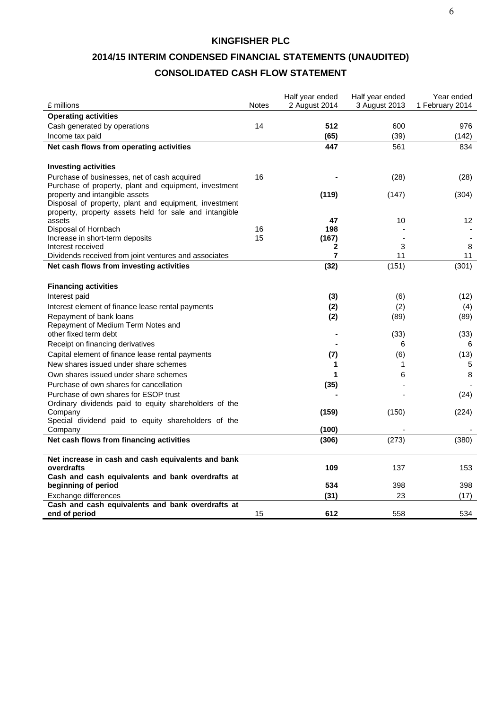# **2014/15 INTERIM CONDENSED FINANCIAL STATEMENTS (UNAUDITED) CONSOLIDATED CASH FLOW STATEMENT**

| £ millions                                                                              | <b>Notes</b> | Half year ended<br>2 August 2014 | Half year ended<br>3 August 2013 | Year ended<br>1 February 2014 |
|-----------------------------------------------------------------------------------------|--------------|----------------------------------|----------------------------------|-------------------------------|
| <b>Operating activities</b>                                                             |              |                                  |                                  |                               |
| Cash generated by operations                                                            | 14           | 512                              | 600                              | 976                           |
| Income tax paid                                                                         |              | (65)                             | (39)                             | (142)                         |
| Net cash flows from operating activities                                                |              | 447                              | 561                              | 834                           |
|                                                                                         |              |                                  |                                  |                               |
| <b>Investing activities</b>                                                             |              |                                  |                                  |                               |
| Purchase of businesses, net of cash acquired                                            | 16           |                                  | (28)                             | (28)                          |
| Purchase of property, plant and equipment, investment                                   |              |                                  |                                  |                               |
| property and intangible assets<br>Disposal of property, plant and equipment, investment |              | (119)                            | (147)                            | (304)                         |
| property, property assets held for sale and intangible                                  |              |                                  |                                  |                               |
| assets                                                                                  |              | 47                               | 10                               | 12                            |
| Disposal of Hornbach                                                                    | 16           | 198                              |                                  |                               |
| Increase in short-term deposits                                                         | 15           | (167)                            |                                  |                               |
| Interest received                                                                       |              | 2                                | 3                                | 8                             |
| Dividends received from joint ventures and associates                                   |              | $\overline{7}$                   | 11                               | 11                            |
| Net cash flows from investing activities                                                |              | (32)                             | (151)                            | (301)                         |
| <b>Financing activities</b>                                                             |              |                                  |                                  |                               |
| Interest paid                                                                           |              | (3)                              | (6)                              | (12)                          |
| Interest element of finance lease rental payments                                       |              | (2)                              | (2)                              | (4)                           |
| Repayment of bank loans                                                                 |              | (2)                              | (89)                             | (89)                          |
| Repayment of Medium Term Notes and                                                      |              |                                  |                                  |                               |
| other fixed term debt                                                                   |              |                                  | (33)                             | (33)                          |
| Receipt on financing derivatives                                                        |              |                                  | 6                                | 6                             |
| Capital element of finance lease rental payments                                        |              | (7)                              | (6)                              | (13)                          |
| New shares issued under share schemes                                                   |              | 1                                | 1                                | 5                             |
| Own shares issued under share schemes                                                   |              | 1                                | 6                                | 8                             |
| Purchase of own shares for cancellation                                                 |              | (35)                             |                                  |                               |
| Purchase of own shares for ESOP trust                                                   |              |                                  |                                  | (24)                          |
| Ordinary dividends paid to equity shareholders of the                                   |              |                                  |                                  |                               |
| Company<br>Special dividend paid to equity shareholders of the                          |              | (159)                            | (150)                            | (224)                         |
| Company                                                                                 |              | (100)                            |                                  |                               |
| Net cash flows from financing activities                                                |              | (306)                            | (273)                            | (380)                         |
|                                                                                         |              |                                  |                                  |                               |
| Net increase in cash and cash equivalents and bank                                      |              |                                  |                                  |                               |
| overdrafts<br>Cash and cash equivalents and bank overdrafts at                          |              | 109                              | 137                              | 153                           |
| beginning of period                                                                     |              | 534                              | 398                              | 398                           |
| Exchange differences                                                                    |              | (31)                             | 23                               | (17)                          |
| Cash and cash equivalents and bank overdrafts at                                        |              |                                  |                                  |                               |
| end of period                                                                           | 15           | 612                              | 558                              | 534                           |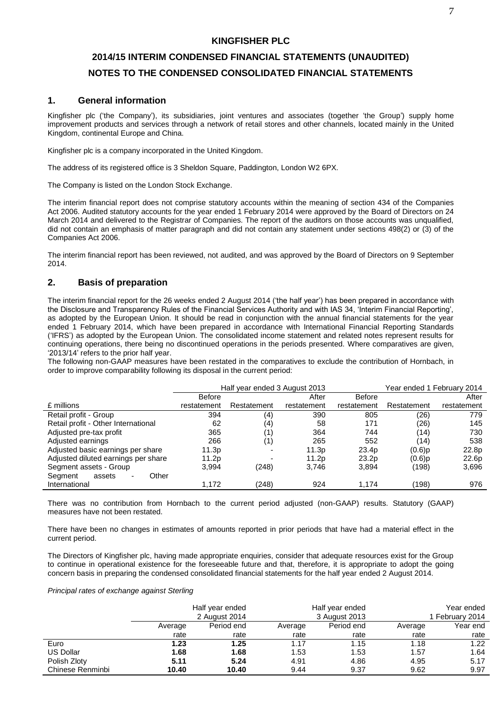# **2014/15 INTERIM CONDENSED FINANCIAL STATEMENTS (UNAUDITED) NOTES TO THE CONDENSED CONSOLIDATED FINANCIAL STATEMENTS**

#### **1. General information**

Kingfisher plc ('the Company'), its subsidiaries, joint ventures and associates (together 'the Group') supply home improvement products and services through a network of retail stores and other channels, located mainly in the United Kingdom, continental Europe and China.

Kingfisher plc is a company incorporated in the United Kingdom.

The address of its registered office is 3 Sheldon Square, Paddington, London W2 6PX.

The Company is listed on the London Stock Exchange.

The interim financial report does not comprise statutory accounts within the meaning of section 434 of the Companies Act 2006. Audited statutory accounts for the year ended 1 February 2014 were approved by the Board of Directors on 24 March 2014 and delivered to the Registrar of Companies. The report of the auditors on those accounts was unqualified, did not contain an emphasis of matter paragraph and did not contain any statement under sections 498(2) or (3) of the Companies Act 2006.

The interim financial report has been reviewed, not audited, and was approved by the Board of Directors on 9 September 2014.

#### **2. Basis of preparation**

The interim financial report for the 26 weeks ended 2 August 2014 ('the half year') has been prepared in accordance with the Disclosure and Transparency Rules of the Financial Services Authority and with IAS 34, 'Interim Financial Reporting', as adopted by the European Union. It should be read in conjunction with the annual financial statements for the year ended 1 February 2014, which have been prepared in accordance with International Financial Reporting Standards ('IFRS') as adopted by the European Union. The consolidated income statement and related notes represent results for continuing operations, there being no discontinued operations in the periods presented. Where comparatives are given, '2013/14' refers to the prior half year.

The following non-GAAP measures have been restated in the comparatives to exclude the contribution of Hornbach, in order to improve comparability following its disposal in the current period:

|                                     |               | Half year ended 3 August 2013 |             |                   | Year ended 1 February 2014 |             |
|-------------------------------------|---------------|-------------------------------|-------------|-------------------|----------------------------|-------------|
|                                     | <b>Before</b> |                               | After       | <b>Before</b>     |                            | After       |
| £ millions                          | restatement   | Restatement                   | restatement | restatement       | Restatement                | restatement |
| Retail profit - Group               | 394           | (4)                           | 390         | 805               | (26)                       | 779         |
| Retail profit - Other International | 62            | (4)                           | 58          | 171               | (26)                       | 145         |
| Adjusted pre-tax profit             | 365           | $\mathbf{1}$                  | 364         | 744               | (14)                       | 730         |
| Adjusted earnings                   | 266           | (1)                           | 265         | 552               | (14)                       | 538         |
| Adjusted basic earnings per share   | 11.3p         | $\overline{\phantom{a}}$      | 11.3p       | 23.4p             | $(0.6)$ p                  | 22.8p       |
| Adjusted diluted earnings per share | 11.2p         | $\overline{\phantom{0}}$      | 11.2p       | 23.2 <sub>p</sub> | (0.6)p                     | 22.6p       |
| Segment assets - Group              | 3.994         | (248)                         | 3.746       | 3.894             | (198)                      | 3,696       |
| Other<br>Segment<br>assets<br>٠     |               |                               |             |                   |                            |             |
| International                       | 1,172         | (248)                         | 924         | 1.174             | (198)                      | 976         |

There was no contribution from Hornbach to the current period adjusted (non-GAAP) results. Statutory (GAAP) measures have not been restated.

There have been no changes in estimates of amounts reported in prior periods that have had a material effect in the current period.

The Directors of Kingfisher plc, having made appropriate enquiries, consider that adequate resources exist for the Group to continue in operational existence for the foreseeable future and that, therefore, it is appropriate to adopt the going concern basis in preparing the condensed consolidated financial statements for the half year ended 2 August 2014.

#### *Principal rates of exchange against Sterling*

|                  |         | Half year ended<br>Half year ended |         |               |         | Year ended      |
|------------------|---------|------------------------------------|---------|---------------|---------|-----------------|
|                  |         | 2 August 2014                      |         | 3 August 2013 |         | 1 Februarv 2014 |
|                  | Average | Period end                         | Average | Period end    | Average | Year end        |
|                  | rate    | rate                               | rate    | rate          | rate    | rate            |
| Euro             | 1.23    | 1.25                               | 1.17    | 1.15          | 1.18    | 1.22            |
| <b>US Dollar</b> | 1.68    | 1.68                               | 1.53    | 1.53          | 1.57    | 1.64            |
| Polish Zloty     | 5.11    | 5.24                               | 4.91    | 4.86          | 4.95    | 5.17            |
| Chinese Renminbi | 10.40   | 10.40                              | 9.44    | 9.37          | 9.62    | 9.97            |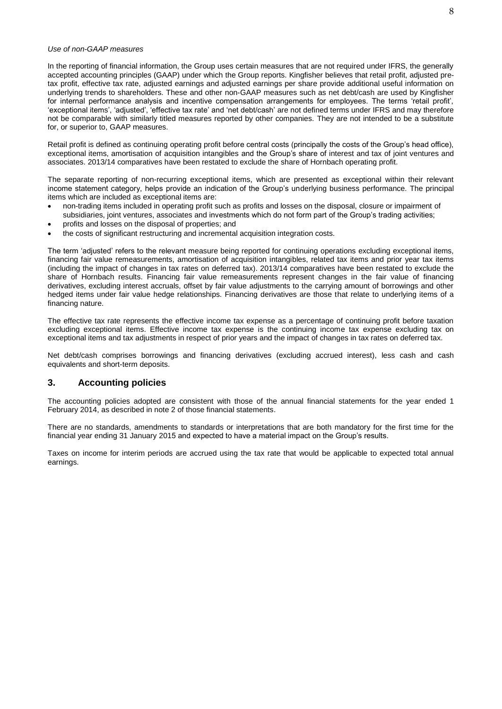#### *Use of non-GAAP measures*

In the reporting of financial information, the Group uses certain measures that are not required under IFRS, the generally accepted accounting principles (GAAP) under which the Group reports. Kingfisher believes that retail profit, adjusted pretax profit, effective tax rate, adjusted earnings and adjusted earnings per share provide additional useful information on underlying trends to shareholders. These and other non-GAAP measures such as net debt/cash are used by Kingfisher for internal performance analysis and incentive compensation arrangements for employees. The terms 'retail profit', 'exceptional items', 'adjusted', 'effective tax rate' and 'net debt/cash' are not defined terms under IFRS and may therefore not be comparable with similarly titled measures reported by other companies. They are not intended to be a substitute for, or superior to, GAAP measures.

Retail profit is defined as continuing operating profit before central costs (principally the costs of the Group's head office), exceptional items, amortisation of acquisition intangibles and the Group's share of interest and tax of joint ventures and associates. 2013/14 comparatives have been restated to exclude the share of Hornbach operating profit.

The separate reporting of non-recurring exceptional items, which are presented as exceptional within their relevant income statement category, helps provide an indication of the Group's underlying business performance. The principal items which are included as exceptional items are:

- non-trading items included in operating profit such as profits and losses on the disposal, closure or impairment of subsidiaries, joint ventures, associates and investments which do not form part of the Group's trading activities;
- profits and losses on the disposal of properties; and
- the costs of significant restructuring and incremental acquisition integration costs.

The term 'adjusted' refers to the relevant measure being reported for continuing operations excluding exceptional items, financing fair value remeasurements, amortisation of acquisition intangibles, related tax items and prior year tax items (including the impact of changes in tax rates on deferred tax). 2013/14 comparatives have been restated to exclude the share of Hornbach results. Financing fair value remeasurements represent changes in the fair value of financing derivatives, excluding interest accruals, offset by fair value adjustments to the carrying amount of borrowings and other hedged items under fair value hedge relationships. Financing derivatives are those that relate to underlying items of a financing nature.

The effective tax rate represents the effective income tax expense as a percentage of continuing profit before taxation excluding exceptional items. Effective income tax expense is the continuing income tax expense excluding tax on exceptional items and tax adjustments in respect of prior years and the impact of changes in tax rates on deferred tax.

Net debt/cash comprises borrowings and financing derivatives (excluding accrued interest), less cash and cash equivalents and short-term deposits.

#### **3. Accounting policies**

The accounting policies adopted are consistent with those of the annual financial statements for the year ended 1 February 2014, as described in note 2 of those financial statements.

There are no standards, amendments to standards or interpretations that are both mandatory for the first time for the financial year ending 31 January 2015 and expected to have a material impact on the Group's results.

Taxes on income for interim periods are accrued using the tax rate that would be applicable to expected total annual earnings.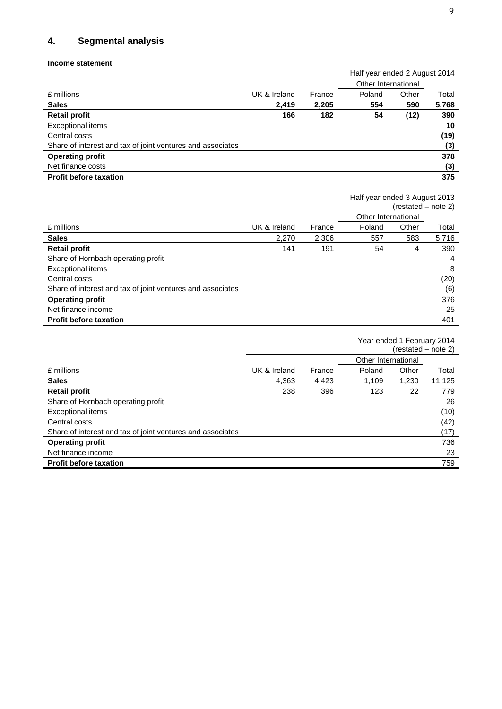### **4. Segmental analysis**

#### **Income statement**

| moonne statement                                           |              |        |                               |       |       |
|------------------------------------------------------------|--------------|--------|-------------------------------|-------|-------|
|                                                            |              |        | Half year ended 2 August 2014 |       |       |
|                                                            |              |        | Other International           |       |       |
| £ millions                                                 | UK & Ireland | France | Poland                        | Other | Total |
| <b>Sales</b>                                               | 2,419        | 2,205  | 554                           | 590   | 5,768 |
| <b>Retail profit</b>                                       | 166          | 182    | 54                            | (12)  | 390   |
| Exceptional items                                          |              |        |                               |       | 10    |
| Central costs                                              |              |        |                               |       | (19)  |
| Share of interest and tax of joint ventures and associates |              |        |                               |       | (3)   |
| <b>Operating profit</b>                                    |              |        |                               |       | 378   |
| Net finance costs                                          |              |        |                               |       | (3)   |
| <b>Profit before taxation</b>                              |              |        |                               |       | 375   |

|                                                            |              |        |                     | (restated – note 2) |       |
|------------------------------------------------------------|--------------|--------|---------------------|---------------------|-------|
|                                                            |              |        | Other International |                     |       |
| £ millions                                                 | UK & Ireland | France | Poland              | Other               | Total |
| <b>Sales</b>                                               | 2,270        | 2.306  | 557                 | 583                 | 5,716 |
| <b>Retail profit</b>                                       | 141          | 191    | 54                  | 4                   | 390   |
| Share of Hornbach operating profit                         |              |        |                     |                     | 4     |
| <b>Exceptional items</b>                                   |              |        |                     |                     | 8     |
| Central costs                                              |              |        |                     |                     | (20)  |
| Share of interest and tax of joint ventures and associates |              |        |                     |                     | (6)   |
| <b>Operating profit</b>                                    |              |        |                     |                     | 376   |
| Net finance income                                         |              |        |                     |                     | 25    |
| <b>Profit before taxation</b>                              |              |        |                     |                     | 401   |

#### Year ended 1 February 2014

Half year ended 3 August 2013

|              |        |        |       | $(resated - note 2)$ |
|--------------|--------|--------|-------|----------------------|
|              |        |        |       |                      |
| UK & Ireland | France | Poland | Other | Total                |
| 4,363        | 4,423  | 1,109  | 1,230 | 11,125               |
| 238          | 396    | 123    | 22    | 779                  |
|              |        |        |       | 26                   |
|              |        |        |       | (10)                 |
|              |        |        |       | (42)                 |
|              |        |        |       | (17)                 |
|              |        |        |       | 736                  |
|              |        |        |       | 23                   |
|              |        |        |       | 759                  |
|              |        |        |       | Other International  |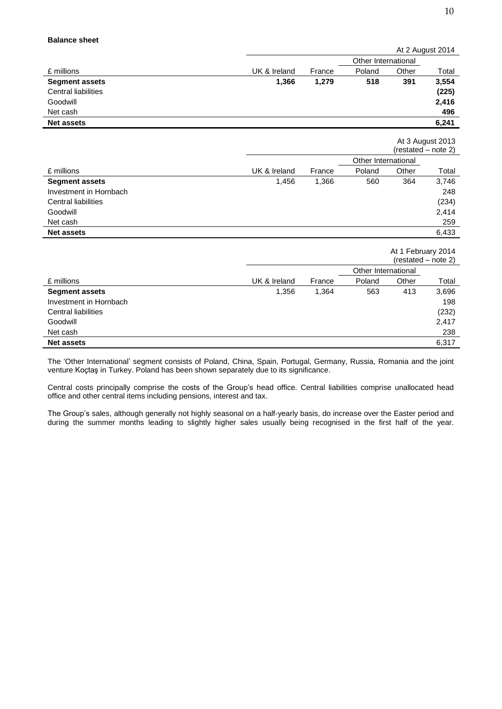#### **Balance sheet**

|                            |              |        |                     |       | At 2 August 2014 |
|----------------------------|--------------|--------|---------------------|-------|------------------|
|                            |              |        | Other International |       |                  |
| £ millions                 | UK & Ireland | France | Poland              | Other | Total            |
| <b>Segment assets</b>      | 1,366        | 1,279  | 518                 | 391   | 3,554            |
| <b>Central liabilities</b> |              |        |                     |       | (225)            |
| Goodwill                   |              |        |                     |       | 2,416            |
| Net cash                   |              |        |                     |       | 496              |
| <b>Net assets</b>          |              |        |                     |       | 6,241            |

At 3 August 2013 (restated – note 2)

|                        |              |        |                     |       | $(165)$ dieu – Tiole Z) |  |
|------------------------|--------------|--------|---------------------|-------|-------------------------|--|
|                        |              |        | Other International |       |                         |  |
| £ millions             | UK & Ireland | France | Poland              | Other | Total                   |  |
| <b>Segment assets</b>  | 1,456        | 1.366  | 560                 | 364   | 3,746                   |  |
| Investment in Hornbach |              |        |                     |       | 248                     |  |
| Central liabilities    |              |        |                     |       | (234)                   |  |
| Goodwill               |              |        |                     |       | 2,414                   |  |
| Net cash               |              |        |                     |       | 259                     |  |
| <b>Net assets</b>      |              |        |                     |       | 6,433                   |  |

|                        |              |        |                     | At 1 February 2014 |                     |
|------------------------|--------------|--------|---------------------|--------------------|---------------------|
|                        |              |        |                     |                    | $(rested - note 2)$ |
|                        |              |        | Other International |                    |                     |
| £ millions             | UK & Ireland | France | Poland              | Other              | Total               |
| <b>Segment assets</b>  | 1,356        | 1.364  | 563                 | 413                | 3,696               |
| Investment in Hornbach |              |        |                     |                    | 198                 |
| Central liabilities    |              |        |                     |                    | (232)               |
| Goodwill               |              |        |                     |                    | 2,417               |
| Net cash               |              |        |                     |                    | 238                 |
| <b>Net assets</b>      |              |        |                     |                    | 6,317               |

The 'Other International' segment consists of Poland, China, Spain, Portugal, Germany, Russia, Romania and the joint venture Koçtaş in Turkey. Poland has been shown separately due to its significance.

Central costs principally comprise the costs of the Group's head office. Central liabilities comprise unallocated head office and other central items including pensions, interest and tax.

The Group's sales, although generally not highly seasonal on a half-yearly basis, do increase over the Easter period and during the summer months leading to slightly higher sales usually being recognised in the first half of the year.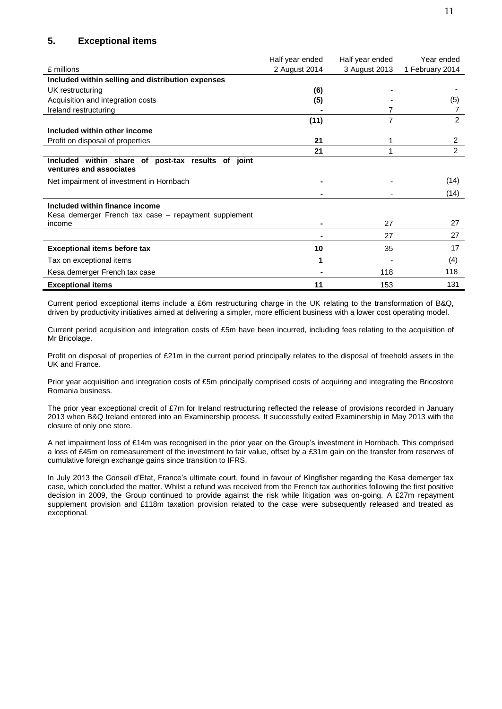#### **5. Exceptional items**

|                                                                                        | Half year ended | Half year ended | Year ended      |
|----------------------------------------------------------------------------------------|-----------------|-----------------|-----------------|
| £ millions                                                                             | 2 August 2014   | 3 August 2013   | 1 February 2014 |
| Included within selling and distribution expenses                                      |                 |                 |                 |
| UK restructuring                                                                       | (6)             |                 |                 |
| Acquisition and integration costs                                                      | (5)             |                 | (5)             |
| Ireland restructuring                                                                  |                 |                 | 7               |
|                                                                                        | (11)            |                 | $\overline{2}$  |
| Included within other income                                                           |                 |                 |                 |
| Profit on disposal of properties                                                       | 21              |                 | $\overline{2}$  |
|                                                                                        | 21              |                 | 2               |
| Included within share of post-tax results of joint<br>ventures and associates          |                 |                 |                 |
| Net impairment of investment in Hornbach                                               |                 |                 | (14)            |
|                                                                                        |                 |                 | (14)            |
| Included within finance income<br>Kesa demerger French tax case – repayment supplement |                 |                 |                 |
| income                                                                                 |                 | 27              | 27              |
|                                                                                        |                 | 27              | 27              |
| <b>Exceptional items before tax</b>                                                    | 10              | 35              | 17              |
| Tax on exceptional items                                                               |                 |                 | (4)             |
| Kesa demerger French tax case                                                          |                 | 118             | 118             |
| <b>Exceptional items</b>                                                               | 11              | 153             | 131             |

Current period exceptional items include a £6m restructuring charge in the UK relating to the transformation of B&Q, driven by productivity initiatives aimed at delivering a simpler, more efficient business with a lower cost operating model.

Current period acquisition and integration costs of £5m have been incurred, including fees relating to the acquisition of Mr Bricolage.

Profit on disposal of properties of £21m in the current period principally relates to the disposal of freehold assets in the UK and France.

Prior year acquisition and integration costs of £5m principally comprised costs of acquiring and integrating the Bricostore Romania business.

The prior year exceptional credit of £7m for Ireland restructuring reflected the release of provisions recorded in January 2013 when B&Q Ireland entered into an Examinership process. It successfully exited Examinership in May 2013 with the closure of only one store.

A net impairment loss of £14m was recognised in the prior year on the Group's investment in Hornbach. This comprised a loss of £45m on remeasurement of the investment to fair value, offset by a £31m gain on the transfer from reserves of cumulative foreign exchange gains since transition to IFRS.

In July 2013 the Conseil d'Etat, France's ultimate court, found in favour of Kingfisher regarding the Kesa demerger tax case, which concluded the matter. Whilst a refund was received from the French tax authorities following the first positive decision in 2009, the Group continued to provide against the risk while litigation was on-going. A £27m repayment supplement provision and £118m taxation provision related to the case were subsequently released and treated as exceptional.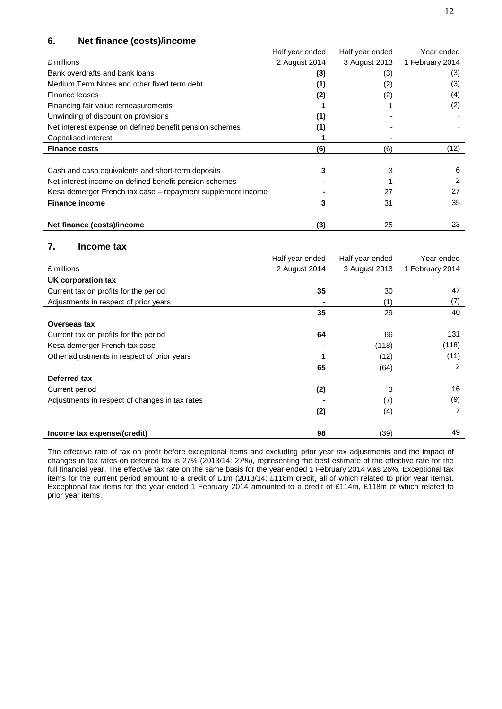### **6. Net finance (costs)/income**

|                                                             | Half year ended | Half year ended | Year ended      |
|-------------------------------------------------------------|-----------------|-----------------|-----------------|
| £ millions                                                  | 2 August 2014   | 3 August 2013   | 1 February 2014 |
| Bank overdrafts and bank loans                              | (3)             | (3)             | (3)             |
| Medium Term Notes and other fixed term debt                 | (1)             | (2)             | (3)             |
| Finance leases                                              | (2)             | (2)             | (4)             |
| Financing fair value remeasurements                         |                 |                 | (2)             |
| Unwinding of discount on provisions                         | (1)             |                 |                 |
| Net interest expense on defined benefit pension schemes     |                 |                 |                 |
| Capitalised interest                                        |                 |                 |                 |
| <b>Finance costs</b>                                        | (6)             | (6)             | (12)            |
|                                                             |                 |                 |                 |
| Cash and cash equivalents and short-term deposits           |                 |                 | 6               |
| Net interest income on defined benefit pension schemes      |                 |                 | 2               |
| Kesa demerger French tax case – repayment supplement income |                 | 27              | 27              |
| <b>Finance income</b>                                       |                 | 31              | 35              |
|                                                             |                 |                 |                 |
| Net finance (costs)/income                                  | (3)             | 25              | 23              |

#### **7. Income tax**

|                                                | Half year ended | Half year ended | Year ended      |
|------------------------------------------------|-----------------|-----------------|-----------------|
| £ millions                                     | 2 August 2014   | 3 August 2013   | 1 February 2014 |
| UK corporation tax                             |                 |                 |                 |
| Current tax on profits for the period          | 35              | 30              | 47              |
| Adjustments in respect of prior years          |                 | (1)             | (7)             |
|                                                | 35              | 29              | 40              |
| Overseas tax                                   |                 |                 |                 |
| Current tax on profits for the period          | 64              | 66              | 131             |
| Kesa demerger French tax case                  |                 | (118)           | (118)           |
| Other adjustments in respect of prior years    |                 | (12)            | (11)            |
|                                                | 65              | (64)            | 2               |
| Deferred tax                                   |                 |                 |                 |
| Current period                                 | (2)             | 3               | 16              |
| Adjustments in respect of changes in tax rates |                 | (7)             | (9)             |
|                                                | (2)             | (4)             | 7               |
|                                                |                 |                 |                 |
| Income tax expense/(credit)                    | 98              | (39)            | 49              |

The effective rate of tax on profit before exceptional items and excluding prior year tax adjustments and the impact of changes in tax rates on deferred tax is 27% (2013/14: 27%), representing the best estimate of the effective rate for the full financial year. The effective tax rate on the same basis for the year ended 1 February 2014 was 26%. Exceptional tax items for the current period amount to a credit of £1m (2013/14: £118m credit, all of which related to prior year items). Exceptional tax items for the year ended 1 February 2014 amounted to a credit of £114m, £118m of which related to prior year items.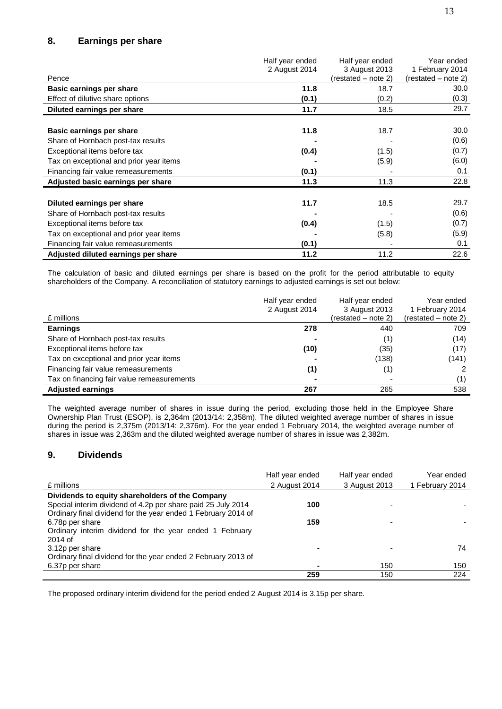### **8. Earnings per share**

|                                         | Half year ended | Half year ended     | Year ended          |
|-----------------------------------------|-----------------|---------------------|---------------------|
|                                         | 2 August 2014   | 3 August 2013       | 1 February 2014     |
| Pence                                   |                 | (restated – note 2) | (restated - note 2) |
| Basic earnings per share                | 11.8            | 18.7                | 30.0                |
| Effect of dilutive share options        | (0.1)           | (0.2)               | (0.3)               |
| Diluted earnings per share              | 11.7            | 18.5                | 29.7                |
|                                         |                 |                     |                     |
| Basic earnings per share                | 11.8            | 18.7                | 30.0                |
| Share of Hornbach post-tax results      |                 |                     | (0.6)               |
| Exceptional items before tax            | (0.4)           | (1.5)               | (0.7)               |
| Tax on exceptional and prior year items |                 | (5.9)               | (6.0)               |
| Financing fair value remeasurements     | (0.1)           |                     | 0.1                 |
| Adjusted basic earnings per share       | 11.3            | 11.3                | 22.8                |
|                                         |                 |                     |                     |
| Diluted earnings per share              | 11.7            | 18.5                | 29.7                |
| Share of Hornbach post-tax results      |                 |                     | (0.6)               |
| Exceptional items before tax            | (0.4)           | (1.5)               | (0.7)               |
| Tax on exceptional and prior year items |                 | (5.8)               | (5.9)               |
| Financing fair value remeasurements     | (0.1)           |                     | 0.1                 |
| Adjusted diluted earnings per share     | 11.2            | 11.2                | 22.6                |

The calculation of basic and diluted earnings per share is based on the profit for the period attributable to equity shareholders of the Company. A reconciliation of statutory earnings to adjusted earnings is set out below:

|                                            | Half year ended<br>2 August 2014 | Half year ended<br>3 August 2013 | Year ended<br>1 February 2014 |
|--------------------------------------------|----------------------------------|----------------------------------|-------------------------------|
| £ millions                                 |                                  | (restated – note 2)              | $(resated - note 2)$          |
| <b>Earnings</b>                            | 278                              | 440                              | 709                           |
| Share of Hornbach post-tax results         |                                  | (1)                              | (14)                          |
| Exceptional items before tax               | (10)                             | (35)                             | (17)                          |
| Tax on exceptional and prior year items    |                                  | (138)                            | (141)                         |
| Financing fair value remeasurements        | (1)                              | (1)                              |                               |
| Tax on financing fair value remeasurements |                                  |                                  |                               |
| <b>Adjusted earnings</b>                   | 267                              | 265                              | 538                           |

The weighted average number of shares in issue during the period, excluding those held in the Employee Share Ownership Plan Trust (ESOP), is 2,364m (2013/14: 2,358m). The diluted weighted average number of shares in issue during the period is 2,375m (2013/14: 2,376m). For the year ended 1 February 2014, the weighted average number of shares in issue was 2,363m and the diluted weighted average number of shares in issue was 2,382m.

#### **9. Dividends**

|                                                               | Half year ended | Half year ended | Year ended      |
|---------------------------------------------------------------|-----------------|-----------------|-----------------|
| £ millions                                                    | 2 August 2014   | 3 August 2013   | 1 February 2014 |
| Dividends to equity shareholders of the Company               |                 |                 |                 |
| Special interim dividend of 4.2p per share paid 25 July 2014  | 100             |                 |                 |
| Ordinary final dividend for the year ended 1 February 2014 of |                 |                 |                 |
| 6.78p per share                                               | 159             |                 |                 |
| Ordinary interim dividend for the year ended 1 February       |                 |                 |                 |
| $2014$ of                                                     |                 |                 |                 |
| 3.12p per share                                               |                 |                 | 74              |
| Ordinary final dividend for the year ended 2 February 2013 of |                 |                 |                 |
| 6.37p per share                                               |                 | 150             | 150             |
|                                                               | 259             | 150             | 224             |

The proposed ordinary interim dividend for the period ended 2 August 2014 is 3.15p per share.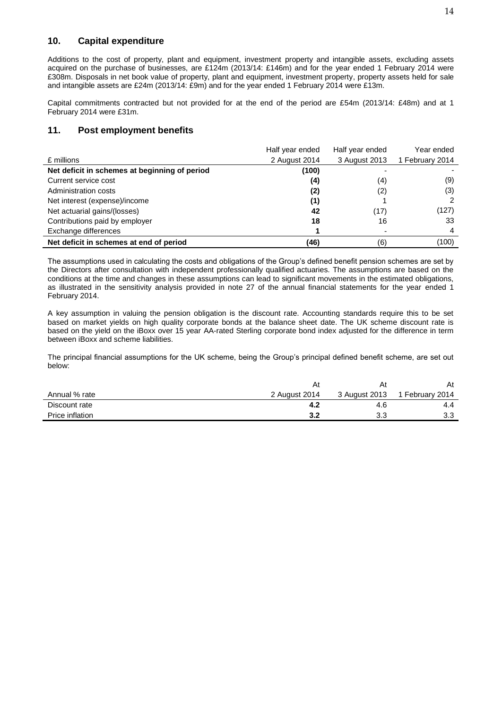#### **10. Capital expenditure**

Additions to the cost of property, plant and equipment, investment property and intangible assets, excluding assets acquired on the purchase of businesses, are £124m (2013/14: £146m) and for the year ended 1 February 2014 were £308m. Disposals in net book value of property, plant and equipment, investment property, property assets held for sale and intangible assets are £24m (2013/14: £9m) and for the year ended 1 February 2014 were £13m.

Capital commitments contracted but not provided for at the end of the period are £54m (2013/14: £48m) and at 1 February 2014 were £31m.

#### **11. Post employment benefits**

|                                               | Half year ended | Half year ended | Year ended      |
|-----------------------------------------------|-----------------|-----------------|-----------------|
| £ millions                                    | 2 August 2014   | 3 August 2013   | 1 February 2014 |
| Net deficit in schemes at beginning of period | (100)           |                 |                 |
| Current service cost                          | (4)             | (4)             | (9)             |
| Administration costs                          | (2)             | (2)             | (3)             |
| Net interest (expense)/income                 | (1)             |                 |                 |
| Net actuarial gains/(losses)                  | 42              | (17)            | (127)           |
| Contributions paid by employer                | 18              | 16              | 33              |
| Exchange differences                          |                 |                 | 4               |
| Net deficit in schemes at end of period       | (46)            | (6)             | (100)           |

The assumptions used in calculating the costs and obligations of the Group's defined benefit pension schemes are set by the Directors after consultation with independent professionally qualified actuaries. The assumptions are based on the conditions at the time and changes in these assumptions can lead to significant movements in the estimated obligations, as illustrated in the sensitivity analysis provided in note 27 of the annual financial statements for the year ended 1 February 2014.

A key assumption in valuing the pension obligation is the discount rate. Accounting standards require this to be set based on market yields on high quality corporate bonds at the balance sheet date. The UK scheme discount rate is based on the yield on the iBoxx over 15 year AA-rated Sterling corporate bond index adjusted for the difference in term between iBoxx and scheme liabilities.

The principal financial assumptions for the UK scheme, being the Group's principal defined benefit scheme, are set out below:

|                 | A <sub>i</sub> | Αt            | At              |
|-----------------|----------------|---------------|-----------------|
| Annual % rate   | 2 August 2014  | 3 August 2013 | 1 February 2014 |
| Discount rate   | 4.2            | 4.6           | 4.4             |
| Price inflation | 3.2            | 3.3           | າ າ<br>ວ.ວ      |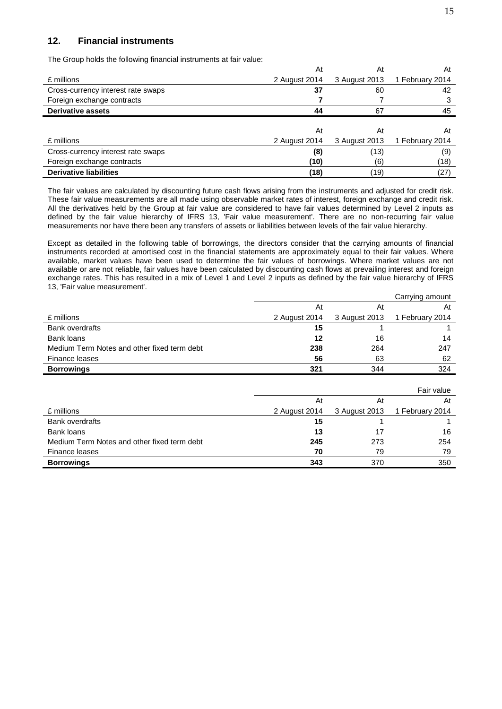#### **12. Financial instruments**

The Group holds the following financial instruments at fair value:

|                                    | At            | At            | At              |
|------------------------------------|---------------|---------------|-----------------|
| £ millions                         | 2 August 2014 | 3 August 2013 | 1 February 2014 |
| Cross-currency interest rate swaps | 37            | 60            | 42              |
| Foreign exchange contracts         |               |               |                 |
| <b>Derivative assets</b>           | 44            | 67            | 45              |
|                                    |               |               |                 |
|                                    | At            | At            | At              |
| £ millions                         | 2 August 2014 | 3 August 2013 | 1 February 2014 |
| Cross-currency interest rate swaps | (8)           | (13)          | (9)             |
| Foreign exchange contracts         | (10)          | (6)           | (18)            |
| <b>Derivative liabilities</b>      | (18)          | (19)          | (27)            |

The fair values are calculated by discounting future cash flows arising from the instruments and adjusted for credit risk. These fair value measurements are all made using observable market rates of interest, foreign exchange and credit risk. All the derivatives held by the Group at fair value are considered to have fair values determined by Level 2 inputs as defined by the fair value hierarchy of IFRS 13, 'Fair value measurement'. There are no non-recurring fair value measurements nor have there been any transfers of assets or liabilities between levels of the fair value hierarchy.

Except as detailed in the following table of borrowings, the directors consider that the carrying amounts of financial instruments recorded at amortised cost in the financial statements are approximately equal to their fair values. Where available, market values have been used to determine the fair values of borrowings. Where market values are not available or are not reliable, fair values have been calculated by discounting cash flows at prevailing interest and foreign exchange rates. This has resulted in a mix of Level 1 and Level 2 inputs as defined by the fair value hierarchy of IFRS 13, 'Fair value measurement'.

|                                             |               |               | Carrying amount |
|---------------------------------------------|---------------|---------------|-----------------|
|                                             | At            | At            | At              |
| £ millions                                  | 2 August 2014 | 3 August 2013 | 1 February 2014 |
| <b>Bank overdrafts</b>                      | 15            |               |                 |
| Bank loans                                  | 12            | 16            | 14              |
| Medium Term Notes and other fixed term debt | 238           | 264           | 247             |
| Finance leases                              | 56            | 63            | 62              |
| <b>Borrowings</b>                           | 321           | 344           | 324             |
|                                             |               |               |                 |

|                                             |               |               | Fair value      |
|---------------------------------------------|---------------|---------------|-----------------|
|                                             | At            | Αt            | At              |
| £ millions                                  | 2 August 2014 | 3 August 2013 | 1 February 2014 |
| <b>Bank overdrafts</b>                      | 15            |               |                 |
| Bank loans                                  | 13            |               | 16              |
| Medium Term Notes and other fixed term debt | 245           | 273           | 254             |
| Finance leases                              | 70            | 79            | 79              |
| <b>Borrowings</b>                           | 343           | 370           | 350             |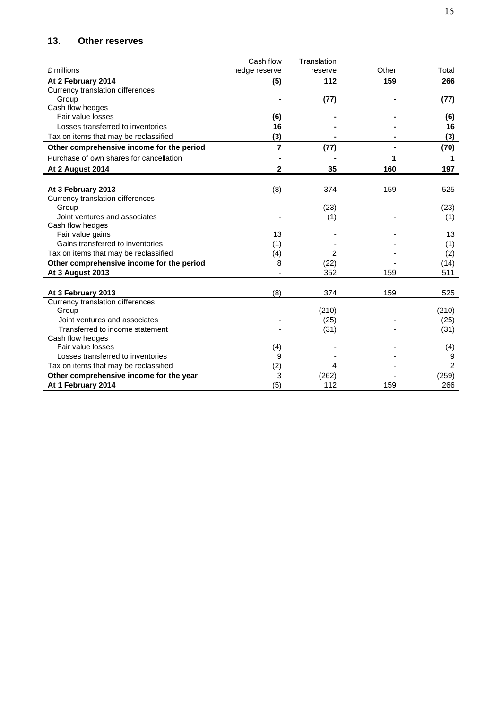#### **13. Other reserves**

|                                           | Cash flow      | Translation |       |                |
|-------------------------------------------|----------------|-------------|-------|----------------|
| £ millions                                | hedge reserve  | reserve     | Other | Total          |
| At 2 February 2014                        | (5)            | 112         | 159   | 266            |
| Currency translation differences          |                |             |       |                |
| Group                                     |                | (77)        |       | (77)           |
| Cash flow hedges                          |                |             |       |                |
| Fair value losses                         | (6)            |             |       | (6)            |
| Losses transferred to inventories         | 16             |             |       | 16             |
| Tax on items that may be reclassified     | (3)            |             |       | (3)            |
| Other comprehensive income for the period | 7              | (77)        |       | (70)           |
| Purchase of own shares for cancellation   | $\blacksquare$ |             |       | 1              |
| At 2 August 2014                          | $\mathbf{2}$   | 35          | 160   | 197            |
|                                           |                |             |       |                |
| At 3 February 2013                        | (8)            | 374         | 159   | 525            |
| Currency translation differences          |                |             |       |                |
| Group                                     |                | (23)        |       | (23)           |
| Joint ventures and associates             |                | (1)         |       | (1)            |
| Cash flow hedges                          |                |             |       |                |
| Fair value gains                          | 13             |             |       | 13             |
| Gains transferred to inventories          | (1)            |             |       | (1)            |
| Tax on items that may be reclassified     | (4)            | 2           |       | (2)            |
| Other comprehensive income for the period | 8              | (22)        |       | (14)           |
| At 3 August 2013                          | ÷,             | 352         | 159   | 511            |
|                                           |                |             |       |                |
| At 3 February 2013                        | (8)            | 374         | 159   | 525            |
| Currency translation differences          |                |             |       |                |
| Group                                     |                | (210)       |       | (210)          |
| Joint ventures and associates             |                | (25)        |       | (25)           |
| Transferred to income statement           |                | (31)        |       | (31)           |
| Cash flow hedges                          |                |             |       |                |
| Fair value losses                         | (4)            |             |       | (4)            |
| Losses transferred to inventories         | 9              |             |       | 9              |
| Tax on items that may be reclassified     | (2)            | 4           |       | $\overline{2}$ |
| Other comprehensive income for the year   | 3              | (262)       |       | (259)          |
| At 1 February 2014                        | (5)            | 112         | 159   | 266            |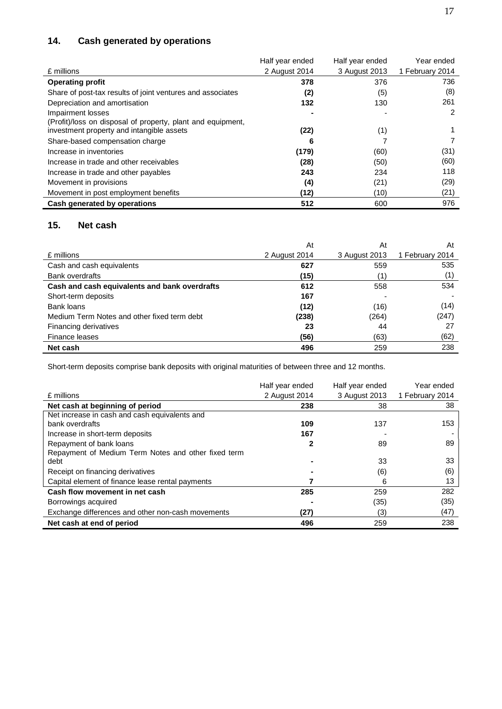# **14. Cash generated by operations**

|                                                             | Half year ended | Half year ended | Year ended      |
|-------------------------------------------------------------|-----------------|-----------------|-----------------|
| £ millions                                                  | 2 August 2014   | 3 August 2013   | 1 February 2014 |
| <b>Operating profit</b>                                     | 378             | 376             | 736             |
| Share of post-tax results of joint ventures and associates  | (2)             | (5)             | (8)             |
| Depreciation and amortisation                               | 132             | 130             | 261             |
| Impairment losses                                           |                 |                 | 2               |
| (Profit)/loss on disposal of property, plant and equipment, |                 |                 |                 |
| investment property and intangible assets                   | (22)            | (1)             |                 |
| Share-based compensation charge                             | 6               |                 |                 |
| Increase in inventories                                     | (179)           | (60)            | (31)            |
| Increase in trade and other receivables                     | (28)            | (50)            | (60)            |
| Increase in trade and other payables                        | 243             | 234             | 118             |
| Movement in provisions                                      | (4)             | (21)            | (29)            |
| Movement in post employment benefits                        | (12)            | (10)            | (21)            |
| Cash generated by operations                                | 512             | 600             | 976             |

#### **15. Net cash**

|                                               | At            | At            | At              |
|-----------------------------------------------|---------------|---------------|-----------------|
| £ millions                                    | 2 August 2014 | 3 August 2013 | 1 February 2014 |
| Cash and cash equivalents                     | 627           | 559           | 535             |
| <b>Bank overdrafts</b>                        | (15)          |               | (1)             |
| Cash and cash equivalents and bank overdrafts | 612           | 558           | 534             |
| Short-term deposits                           | 167           |               |                 |
| Bank loans                                    | (12)          | (16)          | (14)            |
| Medium Term Notes and other fixed term debt   | (238)         | (264)         | (247)           |
| Financing derivatives                         | 23            | 44            | 27              |
| Finance leases                                | (56)          | (63)          | (62)            |
| Net cash                                      | 496           | 259           | 238             |

Short-term deposits comprise bank deposits with original maturities of between three and 12 months.

|                                                     | Half year ended | Half year ended | Year ended      |
|-----------------------------------------------------|-----------------|-----------------|-----------------|
| £ millions                                          | 2 August 2014   | 3 August 2013   | 1 February 2014 |
| Net cash at beginning of period                     | 238             | 38              | 38              |
| Net increase in cash and cash equivalents and       |                 |                 |                 |
| bank overdrafts                                     | 109             | 137             | 153             |
| Increase in short-term deposits                     | 167             |                 |                 |
| Repayment of bank loans                             | 2               | 89              | 89              |
| Repayment of Medium Term Notes and other fixed term |                 |                 |                 |
| debt                                                |                 | 33              | 33              |
| Receipt on financing derivatives                    |                 | (6)             | (6)             |
| Capital element of finance lease rental payments    |                 | 6               | 13              |
| Cash flow movement in net cash                      | 285             | 259             | 282             |
| Borrowings acquired                                 |                 | (35)            | (35)            |
| Exchange differences and other non-cash movements   | (27)            | (3)             | (47)            |
| Net cash at end of period                           | 496             | 259             | 238             |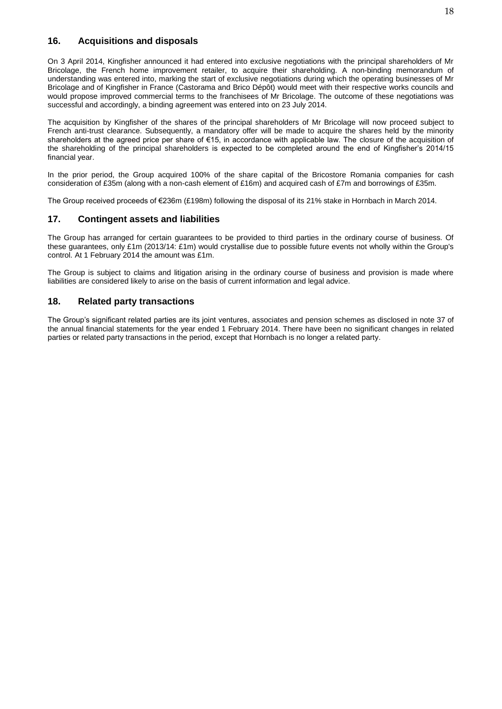#### **16. Acquisitions and disposals**

On 3 April 2014, Kingfisher announced it had entered into exclusive negotiations with the principal shareholders of Mr Bricolage, the French home improvement retailer, to acquire their shareholding. A non-binding memorandum of understanding was entered into, marking the start of exclusive negotiations during which the operating businesses of Mr Bricolage and of Kingfisher in France (Castorama and Brico Dépôt) would meet with their respective works councils and would propose improved commercial terms to the franchisees of Mr Bricolage. The outcome of these negotiations was successful and accordingly, a binding agreement was entered into on 23 July 2014.

The acquisition by Kingfisher of the shares of the principal shareholders of Mr Bricolage will now proceed subject to French anti-trust clearance. Subsequently, a mandatory offer will be made to acquire the shares held by the minority shareholders at the agreed price per share of €15, in accordance with applicable law. The closure of the acquisition of the shareholding of the principal shareholders is expected to be completed around the end of Kingfisher's 2014/15 financial year.

In the prior period, the Group acquired 100% of the share capital of the Bricostore Romania companies for cash consideration of £35m (along with a non-cash element of £16m) and acquired cash of £7m and borrowings of £35m.

The Group received proceeds of €236m (£198m) following the disposal of its 21% stake in Hornbach in March 2014.

#### **17. Contingent assets and liabilities**

The Group has arranged for certain guarantees to be provided to third parties in the ordinary course of business. Of these guarantees, only £1m (2013/14: £1m) would crystallise due to possible future events not wholly within the Group's control. At 1 February 2014 the amount was £1m.

The Group is subject to claims and litigation arising in the ordinary course of business and provision is made where liabilities are considered likely to arise on the basis of current information and legal advice.

#### **18. Related party transactions**

The Group's significant related parties are its joint ventures, associates and pension schemes as disclosed in note 37 of the annual financial statements for the year ended 1 February 2014. There have been no significant changes in related parties or related party transactions in the period, except that Hornbach is no longer a related party.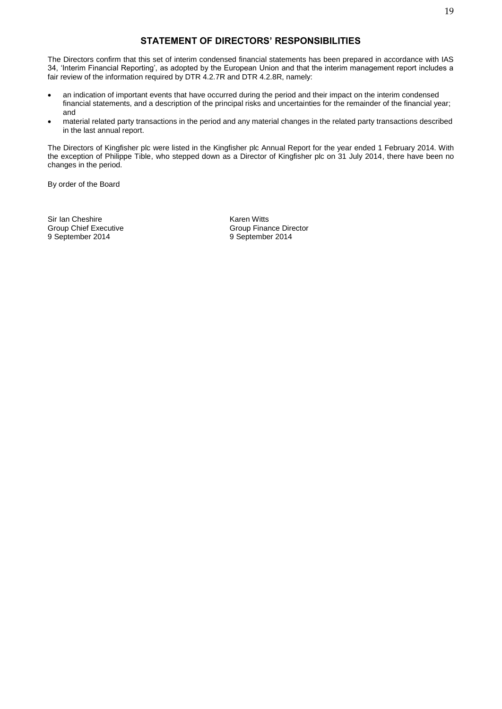### **STATEMENT OF DIRECTORS' RESPONSIBILITIES**

The Directors confirm that this set of interim condensed financial statements has been prepared in accordance with IAS 34, 'Interim Financial Reporting', as adopted by the European Union and that the interim management report includes a fair review of the information required by DTR 4.2.7R and DTR 4.2.8R, namely:

- an indication of important events that have occurred during the period and their impact on the interim condensed financial statements, and a description of the principal risks and uncertainties for the remainder of the financial year; and
- material related party transactions in the period and any material changes in the related party transactions described in the last annual report.

The Directors of Kingfisher plc were listed in the Kingfisher plc Annual Report for the year ended 1 February 2014. With the exception of Philippe Tible, who stepped down as a Director of Kingfisher plc on 31 July 2014, there have been no changes in the period.

By order of the Board

Sir Ian Cheshire **Karen Witts**<br>Group Chief Executive **Karen Witts** Group Finar 9 September 2014

Group Finance Director<br>9 September 2014